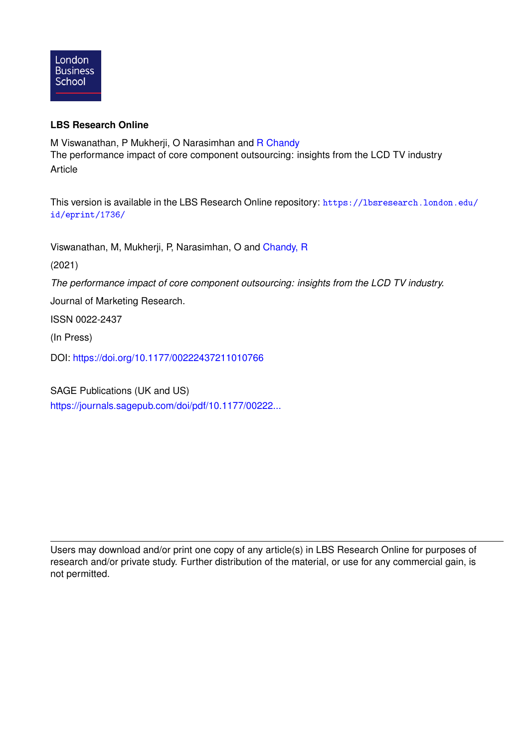

### **LBS Research Online**

M Viswanathan, P Mukherji, O Narasimhan and [R Chandy](https://lbsresearch.london.edu/view/lbs_authors/1114072.html) The performance impact of core component outsourcing: insights from the LCD TV industry Article

This version is available in the LBS Research Online repository: [https://lbsresearch.london.edu/](https://lbsresearch.london.edu/id/eprint/1736/) [id/eprint/1736/](https://lbsresearch.london.edu/id/eprint/1736/)

Viswanathan, M, Mukherji, P, Narasimhan, O and [Chandy, R](https://lbsresearch.london.edu/view/lbs_authors/1114072.html)

(2021)

*The performance impact of core component outsourcing: insights from the LCD TV industry.*

Journal of Marketing Research.

ISSN 0022-2437

(In Press)

DOI: <https://doi.org/10.1177/00222437211010766>

SAGE Publications (UK and US) [https://journals.sagepub.com/doi/pdf/10.1177/00222...](https://journals.sagepub.com/doi/pdf/10.1177/00222437211010766)

Users may download and/or print one copy of any article(s) in LBS Research Online for purposes of research and/or private study. Further distribution of the material, or use for any commercial gain, is not permitted.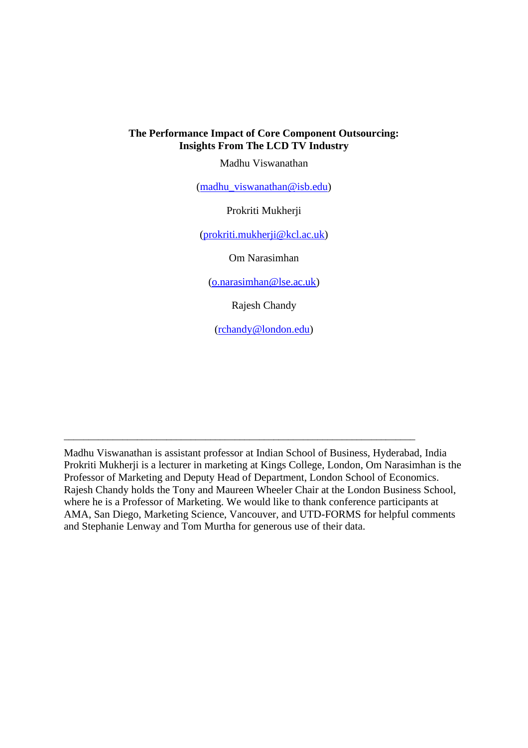### **The Performance Impact of Core Component Outsourcing: Insights From The LCD TV Industry**

Madhu Viswanathan

[\(madhu\\_viswanathan@isb.edu\)](mailto:madhu_viswanathan@isb.edu)

Prokriti Mukherji

[\(prokriti.mukherji@kcl.ac.uk\)](mailto:prokriti.mukherji@kcl.ac.uk)

Om Narasimhan

[\(o.narasimhan@lse.ac.uk\)](mailto:o.narasimhan@lse.ac.uk)

Rajesh Chandy

[\(rchandy@london.edu\)](mailto:rchandy@london.edu)

Madhu Viswanathan is assistant professor at Indian School of Business, Hyderabad, India Prokriti Mukherji is a lecturer in marketing at Kings College, London, Om Narasimhan is the Professor of Marketing and Deputy Head of Department, London School of Economics. Rajesh Chandy holds the Tony and Maureen Wheeler Chair at the London Business School, where he is a Professor of Marketing. We would like to thank conference participants at AMA, San Diego, Marketing Science, Vancouver, and UTD-FORMS for helpful comments and Stephanie Lenway and Tom Murtha for generous use of their data.

\_\_\_\_\_\_\_\_\_\_\_\_\_\_\_\_\_\_\_\_\_\_\_\_\_\_\_\_\_\_\_\_\_\_\_\_\_\_\_\_\_\_\_\_\_\_\_\_\_\_\_\_\_\_\_\_\_\_\_\_\_\_\_\_\_\_\_\_\_\_\_\_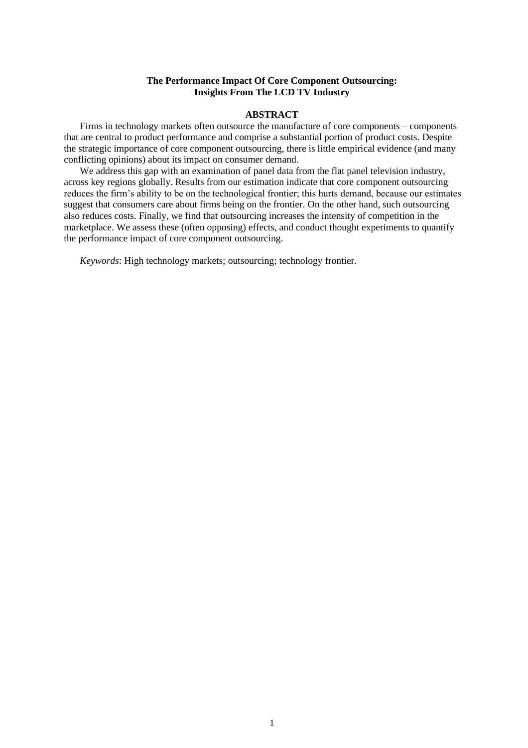### **The Performance Impact Of Core Component Outsourcing: Insights From The LCD TV Industry**

#### **ABSTRACT**

Firms in technology markets often outsource the manufacture of core components – components that are central to product performance and comprise a substantial portion of product costs. Despite the strategic importance of core component outsourcing, there is little empirical evidence (and many conflicting opinions) about its impact on consumer demand.

We address this gap with an examination of panel data from the flat panel television industry, across key regions globally. Results from our estimation indicate that core component outsourcing reduces the firm's ability to be on the technological frontier; this hurts demand, because our estimates suggest that consumers care about firms being on the frontier. On the other hand, such outsourcing also reduces costs. Finally, we find that outsourcing increases the intensity of competition in the marketplace. We assess these (often opposing) effects, and conduct thought experiments to quantify the performance impact of core component outsourcing.

*Keywords*: High technology markets; outsourcing; technology frontier.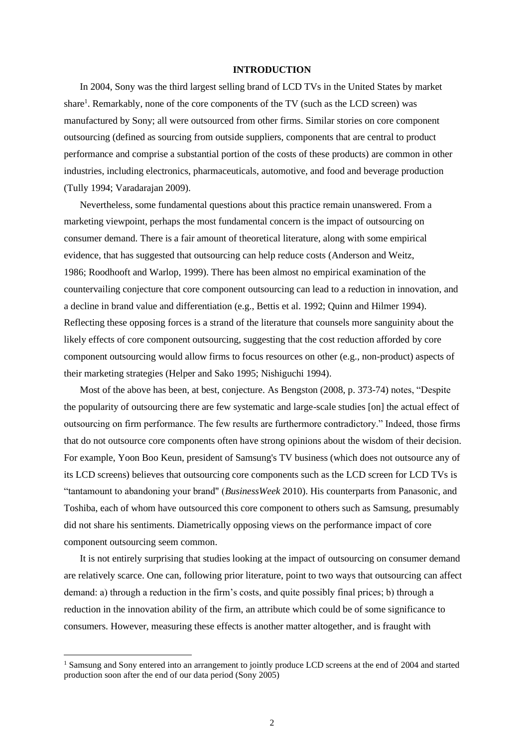#### **INTRODUCTION**

In 2004, Sony was the third largest selling brand of LCD TVs in the United States by market share<sup>1</sup>. Remarkably, none of the core components of the TV (such as the LCD screen) was manufactured by Sony; all were outsourced from other firms. Similar stories on core component outsourcing (defined as sourcing from outside suppliers, components that are central to product performance and comprise a substantial portion of the costs of these products) are common in other industries, including electronics, pharmaceuticals, automotive, and food and beverage production (Tully 1994; Varadarajan 2009).

Nevertheless, some fundamental questions about this practice remain unanswered. From a marketing viewpoint, perhaps the most fundamental concern is the impact of outsourcing on consumer demand. There is a fair amount of theoretical literature, along with some empirical evidence, that has suggested that outsourcing can help reduce costs [\(Anderson and Weitz,](http://www.emeraldinsight.com/doi/full/10.1108/00251740610641454)  [1986;](http://www.emeraldinsight.com/doi/full/10.1108/00251740610641454) [Roodhooft and Warlop, 1999\)](http://www.emeraldinsight.com/doi/full/10.1108/00251740610641454). There has been almost no empirical examination of the countervailing conjecture that core component outsourcing can lead to a reduction in innovation, and a decline in brand value and differentiation (e.g., Bettis et al. 1992; Quinn and Hilmer 1994). Reflecting these opposing forces is a strand of the literature that counsels more sanguinity about the likely effects of core component outsourcing, suggesting that the cost reduction afforded by core component outsourcing would allow firms to focus resources on other (e.g., non-product) aspects of their marketing strategies (Helper and Sako 1995; Nishiguchi 1994).

Most of the above has been, at best, conjecture. As Bengston (2008, p. 373-74) notes, "Despite the popularity of outsourcing there are few systematic and large-scale studies [on] the actual effect of outsourcing on firm performance. The few results are furthermore contradictory." Indeed, those firms that do not outsource core components often have strong opinions about the wisdom of their decision. For example, Yoon Boo Keun, president of Samsung's TV business (which does not outsource any of its LCD screens) believes that outsourcing core components such as the LCD screen for LCD TVs is "tantamount to abandoning your brand" (*BusinessWeek* 2010). His counterparts from Panasonic, and Toshiba, each of whom have outsourced this core component to others such as Samsung, presumably did not share his sentiments. Diametrically opposing views on the performance impact of core component outsourcing seem common.

It is not entirely surprising that studies looking at the impact of outsourcing on consumer demand are relatively scarce. One can, following prior literature, point to two ways that outsourcing can affect demand: a) through a reduction in the firm's costs, and quite possibly final prices; b) through a reduction in the innovation ability of the firm, an attribute which could be of some significance to consumers. However, measuring these effects is another matter altogether, and is fraught with

<sup>&</sup>lt;sup>1</sup> Samsung and Sony entered into an arrangement to jointly produce LCD screens at the end of 2004 and started production soon after the end of our data period (Sony 2005)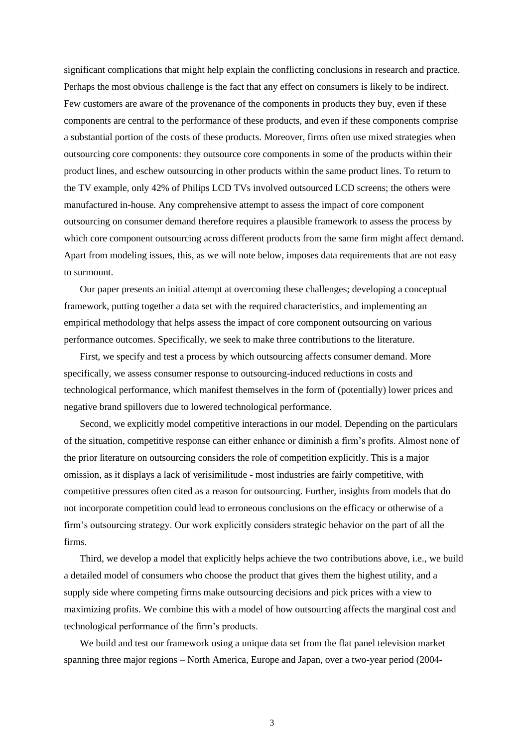significant complications that might help explain the conflicting conclusions in research and practice. Perhaps the most obvious challenge is the fact that any effect on consumers is likely to be indirect. Few customers are aware of the provenance of the components in products they buy, even if these components are central to the performance of these products, and even if these components comprise a substantial portion of the costs of these products. Moreover, firms often use mixed strategies when outsourcing core components: they outsource core components in some of the products within their product lines, and eschew outsourcing in other products within the same product lines. To return to the TV example, only 42% of Philips LCD TVs involved outsourced LCD screens; the others were manufactured in-house. Any comprehensive attempt to assess the impact of core component outsourcing on consumer demand therefore requires a plausible framework to assess the process by which core component outsourcing across different products from the same firm might affect demand. Apart from modeling issues, this, as we will note below, imposes data requirements that are not easy to surmount.

Our paper presents an initial attempt at overcoming these challenges; developing a conceptual framework, putting together a data set with the required characteristics, and implementing an empirical methodology that helps assess the impact of core component outsourcing on various performance outcomes. Specifically, we seek to make three contributions to the literature.

First, we specify and test a process by which outsourcing affects consumer demand. More specifically, we assess consumer response to outsourcing-induced reductions in costs and technological performance, which manifest themselves in the form of (potentially) lower prices and negative brand spillovers due to lowered technological performance.

Second, we explicitly model competitive interactions in our model. Depending on the particulars of the situation, competitive response can either enhance or diminish a firm's profits. Almost none of the prior literature on outsourcing considers the role of competition explicitly. This is a major omission, as it displays a lack of verisimilitude - most industries are fairly competitive, with competitive pressures often cited as a reason for outsourcing. Further, insights from models that do not incorporate competition could lead to erroneous conclusions on the efficacy or otherwise of a firm's outsourcing strategy. Our work explicitly considers strategic behavior on the part of all the firms.

Third, we develop a model that explicitly helps achieve the two contributions above, i.e., we build a detailed model of consumers who choose the product that gives them the highest utility, and a supply side where competing firms make outsourcing decisions and pick prices with a view to maximizing profits. We combine this with a model of how outsourcing affects the marginal cost and technological performance of the firm's products.

We build and test our framework using a unique data set from the flat panel television market spanning three major regions – North America, Europe and Japan, over a two-year period (2004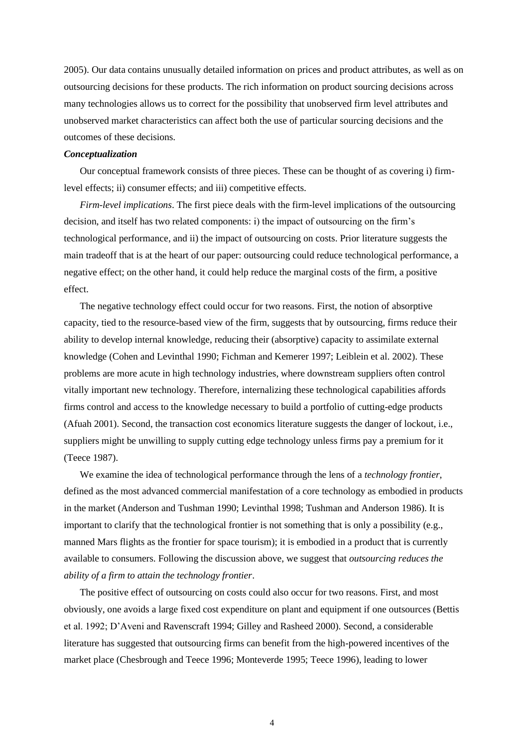2005). Our data contains unusually detailed information on prices and product attributes, as well as on outsourcing decisions for these products. The rich information on product sourcing decisions across many technologies allows us to correct for the possibility that unobserved firm level attributes and unobserved market characteristics can affect both the use of particular sourcing decisions and the outcomes of these decisions.

#### *Conceptualization*

Our conceptual framework consists of three pieces. These can be thought of as covering i) firmlevel effects; ii) consumer effects; and iii) competitive effects.

*Firm-level implications*. The first piece deals with the firm-level implications of the outsourcing decision, and itself has two related components: i) the impact of outsourcing on the firm's technological performance, and ii) the impact of outsourcing on costs. Prior literature suggests the main tradeoff that is at the heart of our paper: outsourcing could reduce technological performance, a negative effect; on the other hand, it could help reduce the marginal costs of the firm, a positive effect.

The negative technology effect could occur for two reasons. First, the notion of absorptive capacity, tied to the resource-based view of the firm, suggests that by outsourcing, firms reduce their ability to develop internal knowledge, reducing their (absorptive) capacity to assimilate external knowledge (Cohen and Levinthal 1990; Fichman and Kemerer 1997; Leiblein et al. 2002). These problems are more acute in high technology industries, where downstream suppliers often control vitally important new technology. Therefore, internalizing these technological capabilities affords firms control and access to the knowledge necessary to build a portfolio of cutting-edge products (Afuah 2001). Second, the transaction cost economics literature suggests the danger of lockout, i.e., suppliers might be unwilling to supply cutting edge technology unless firms pay a premium for it (Teece 1987).

We examine the idea of technological performance through the lens of a *technology frontier*, defined as the most advanced commercial manifestation of a core technology as embodied in products in the market (Anderson and Tushman 1990; Levinthal 1998; Tushman and Anderson 1986). It is important to clarify that the technological frontier is not something that is only a possibility (e.g., manned Mars flights as the frontier for space tourism); it is embodied in a product that is currently available to consumers. Following the discussion above, we suggest that *outsourcing reduces the ability of a firm to attain the technology frontier*.

The positive effect of outsourcing on costs could also occur for two reasons. First, and most obviously, one avoids a large fixed cost expenditure on plant and equipment if one outsources (Bettis et al. 1992; D'Aveni and Ravenscraft 1994; Gilley and Rasheed 2000). Second, a considerable literature has suggested that outsourcing firms can benefit from the high-powered incentives of the market place (Chesbrough and Teece 1996; Monteverde 1995; Teece 1996), leading to lower

4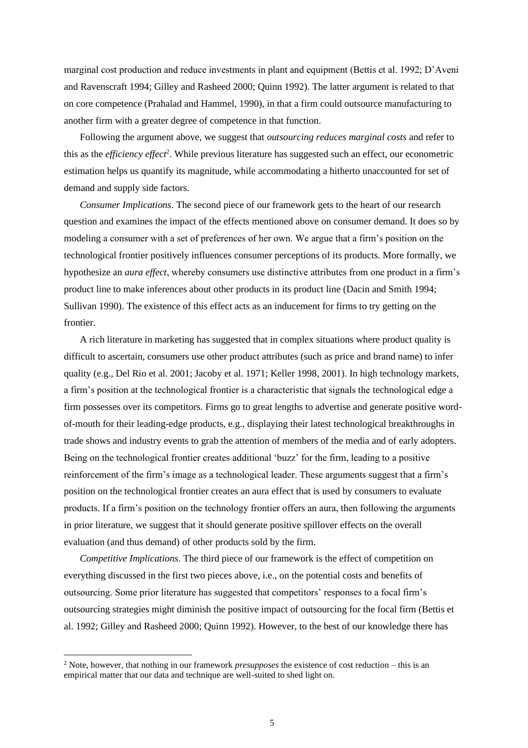marginal cost production and reduce investments in plant and equipment (Bettis et al. 1992; D'Aveni and Ravenscraft 1994; Gilley and Rasheed 2000; Quinn 1992). The latter argument is related to that on core competence (Prahalad and Hammel, 1990), in that a firm could outsource manufacturing to another firm with a greater degree of competence in that function.

Following the argument above, we suggest that *outsourcing reduces marginal costs* and refer to this as the *efficiency effect*<sup>2</sup>. While previous literature has suggested such an effect, our econometric estimation helps us quantify its magnitude, while accommodating a hitherto unaccounted for set of demand and supply side factors.

*Consumer Implications*. The second piece of our framework gets to the heart of our research question and examines the impact of the effects mentioned above on consumer demand. It does so by modeling a consumer with a set of preferences of her own. We argue that a firm's position on the technological frontier positively influences consumer perceptions of its products. More formally, we hypothesize an *aura effect*, whereby consumers use distinctive attributes from one product in a firm's product line to make inferences about other products in its product line (Dacin and Smith 1994; Sullivan 1990). The existence of this effect acts as an inducement for firms to try getting on the frontier.

A rich literature in marketing has suggested that in complex situations where product quality is difficult to ascertain, consumers use other product attributes (such as price and brand name) to infer quality (e.g., Del Rio et al. 2001; Jacoby et al. 1971; Keller 1998, 2001). In high technology markets, a firm's position at the technological frontier is a characteristic that signals the technological edge a firm possesses over its competitors. Firms go to great lengths to advertise and generate positive wordof-mouth for their leading-edge products, e.g., displaying their latest technological breakthroughs in trade shows and industry events to grab the attention of members of the media and of early adopters. Being on the technological frontier creates additional 'buzz' for the firm, leading to a positive reinforcement of the firm's image as a technological leader. These arguments suggest that a firm's position on the technological frontier creates an aura effect that is used by consumers to evaluate products. If a firm's position on the technology frontier offers an aura, then following the arguments in prior literature, we suggest that it should generate positive spillover effects on the overall evaluation (and thus demand) of other products sold by the firm.

*Competitive Implications*. The third piece of our framework is the effect of competition on everything discussed in the first two pieces above, i.e., on the potential costs and benefits of outsourcing. Some prior literature has suggested that competitors' responses to a focal firm's outsourcing strategies might diminish the positive impact of outsourcing for the focal firm (Bettis et al. 1992; Gilley and Rasheed 2000; Quinn 1992). However, to the best of our knowledge there has

<sup>2</sup> Note, however, that nothing in our framework *presupposes* the existence of cost reduction – this is an empirical matter that our data and technique are well-suited to shed light on.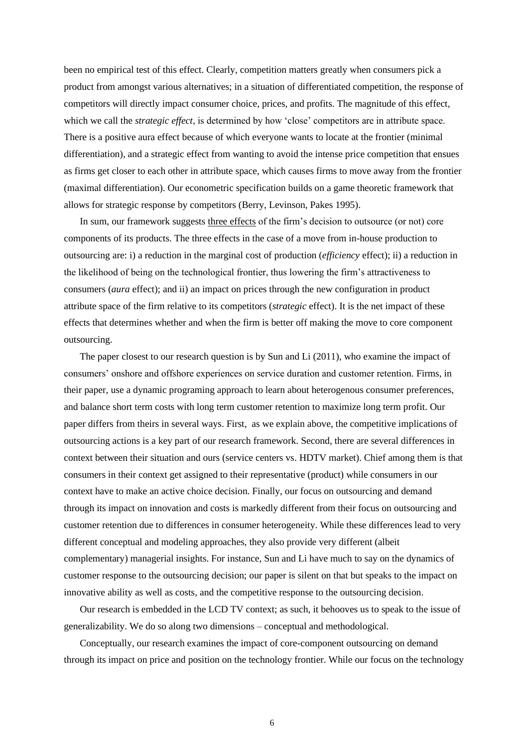been no empirical test of this effect. Clearly, competition matters greatly when consumers pick a product from amongst various alternatives; in a situation of differentiated competition, the response of competitors will directly impact consumer choice, prices, and profits. The magnitude of this effect, which we call the *strategic effect*, is determined by how 'close' competitors are in attribute space. There is a positive aura effect because of which everyone wants to locate at the frontier (minimal differentiation), and a strategic effect from wanting to avoid the intense price competition that ensues as firms get closer to each other in attribute space, which causes firms to move away from the frontier (maximal differentiation). Our econometric specification builds on a game theoretic framework that allows for strategic response by competitors (Berry, Levinson, Pakes 1995).

In sum, our framework suggests three effects of the firm's decision to outsource (or not) core components of its products. The three effects in the case of a move from in-house production to outsourcing are: i) a reduction in the marginal cost of production (*efficiency* effect); ii) a reduction in the likelihood of being on the technological frontier, thus lowering the firm's attractiveness to consumers (*aura* effect); and ii) an impact on prices through the new configuration in product attribute space of the firm relative to its competitors (*strategic* effect). It is the net impact of these effects that determines whether and when the firm is better off making the move to core component outsourcing.

The paper closest to our research question is by Sun and Li (2011), who examine the impact of consumers' onshore and offshore experiences on service duration and customer retention. Firms, in their paper, use a dynamic programing approach to learn about heterogenous consumer preferences, and balance short term costs with long term customer retention to maximize long term profit. Our paper differs from theirs in several ways. First, as we explain above, the competitive implications of outsourcing actions is a key part of our research framework. Second, there are several differences in context between their situation and ours (service centers vs. HDTV market). Chief among them is that consumers in their context get assigned to their representative (product) while consumers in our context have to make an active choice decision. Finally, our focus on outsourcing and demand through its impact on innovation and costs is markedly different from their focus on outsourcing and customer retention due to differences in consumer heterogeneity. While these differences lead to very different conceptual and modeling approaches, they also provide very different (albeit complementary) managerial insights. For instance, Sun and Li have much to say on the dynamics of customer response to the outsourcing decision; our paper is silent on that but speaks to the impact on innovative ability as well as costs, and the competitive response to the outsourcing decision.

Our research is embedded in the LCD TV context; as such, it behooves us to speak to the issue of generalizability. We do so along two dimensions – conceptual and methodological.

Conceptually, our research examines the impact of core-component outsourcing on demand through its impact on price and position on the technology frontier. While our focus on the technology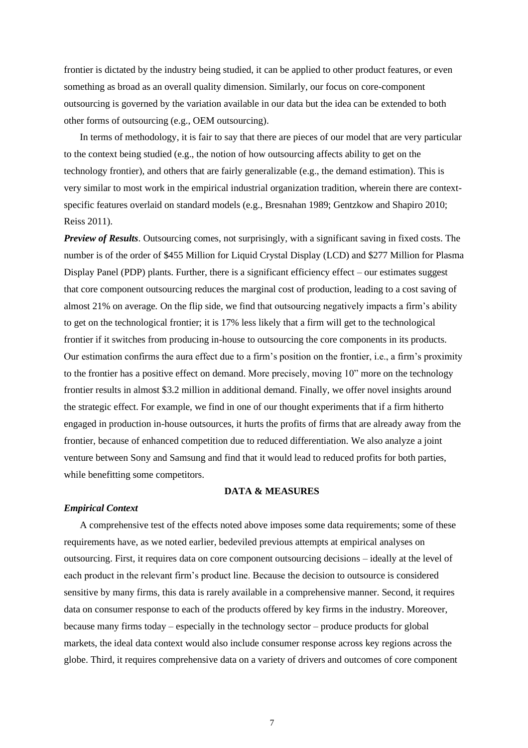frontier is dictated by the industry being studied, it can be applied to other product features, or even something as broad as an overall quality dimension. Similarly, our focus on core-component outsourcing is governed by the variation available in our data but the idea can be extended to both other forms of outsourcing (e.g., OEM outsourcing).

In terms of methodology, it is fair to say that there are pieces of our model that are very particular to the context being studied (e.g., the notion of how outsourcing affects ability to get on the technology frontier), and others that are fairly generalizable (e.g., the demand estimation). This is very similar to most work in the empirical industrial organization tradition, wherein there are contextspecific features overlaid on standard models (e.g., Bresnahan 1989; Gentzkow and Shapiro 2010; Reiss 2011).

*Preview of Results*. Outsourcing comes, not surprisingly, with a significant saving in fixed costs. The number is of the order of \$455 Million for Liquid Crystal Display (LCD) and \$277 Million for Plasma Display Panel (PDP) plants. Further, there is a significant efficiency effect – our estimates suggest that core component outsourcing reduces the marginal cost of production, leading to a cost saving of almost 21% on average*.* On the flip side, we find that outsourcing negatively impacts a firm's ability to get on the technological frontier; it is 17% less likely that a firm will get to the technological frontier if it switches from producing in-house to outsourcing the core components in its products. Our estimation confirms the aura effect due to a firm's position on the frontier, i.e., a firm's proximity to the frontier has a positive effect on demand. More precisely, moving 10" more on the technology frontier results in almost \$3.2 million in additional demand. Finally, we offer novel insights around the strategic effect. For example, we find in one of our thought experiments that if a firm hitherto engaged in production in-house outsources, it hurts the profits of firms that are already away from the frontier, because of enhanced competition due to reduced differentiation. We also analyze a joint venture between Sony and Samsung and find that it would lead to reduced profits for both parties, while benefitting some competitors.

#### **DATA & MEASURES**

#### *Empirical Context*

A comprehensive test of the effects noted above imposes some data requirements; some of these requirements have, as we noted earlier, bedeviled previous attempts at empirical analyses on outsourcing. First, it requires data on core component outsourcing decisions – ideally at the level of each product in the relevant firm's product line. Because the decision to outsource is considered sensitive by many firms, this data is rarely available in a comprehensive manner. Second, it requires data on consumer response to each of the products offered by key firms in the industry. Moreover, because many firms today – especially in the technology sector – produce products for global markets, the ideal data context would also include consumer response across key regions across the globe. Third, it requires comprehensive data on a variety of drivers and outcomes of core component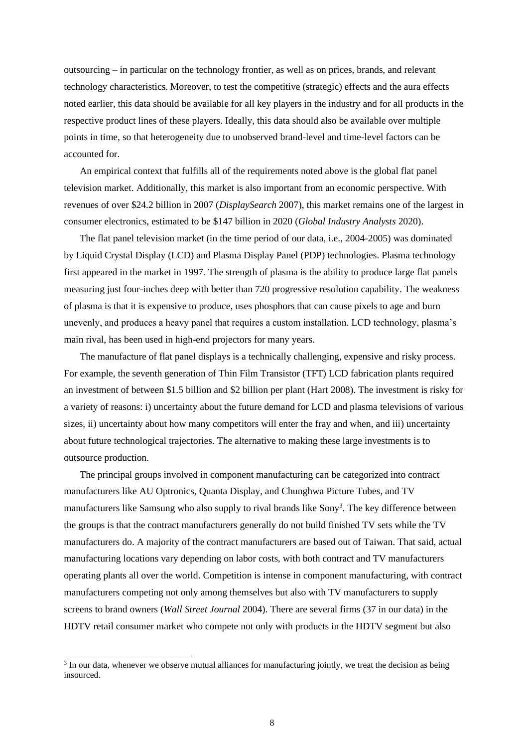outsourcing – in particular on the technology frontier, as well as on prices, brands, and relevant technology characteristics. Moreover, to test the competitive (strategic) effects and the aura effects noted earlier, this data should be available for all key players in the industry and for all products in the respective product lines of these players. Ideally, this data should also be available over multiple points in time, so that heterogeneity due to unobserved brand-level and time-level factors can be accounted for.

An empirical context that fulfills all of the requirements noted above is the global flat panel television market. Additionally, this market is also important from an economic perspective. With revenues of over \$24.2 billion in 2007 (*DisplaySearch* 2007), this market remains one of the largest in consumer electronics, estimated to be \$147 billion in 2020 (*Global Industry Analysts* 2020).

The flat panel television market (in the time period of our data, i.e., 2004-2005) was dominated by Liquid Crystal Display (LCD) and Plasma Display Panel (PDP) technologies. Plasma technology first appeared in the market in 1997. The strength of plasma is the ability to produce large flat panels measuring just four-inches deep with better than 720 progressive resolution capability. The weakness of plasma is that it is expensive to produce, uses phosphors that can cause pixels to age and burn unevenly, and produces a heavy panel that requires a custom installation. LCD technology, plasma's main rival, has been used in high-end projectors for many years.

The manufacture of flat panel displays is a technically challenging, expensive and risky process. For example, the seventh generation of Thin Film Transistor (TFT) LCD fabrication plants required an investment of between \$1.5 billion and \$2 billion per plant (Hart 2008). The investment is risky for a variety of reasons: i) uncertainty about the future demand for LCD and plasma televisions of various sizes, ii) uncertainty about how many competitors will enter the fray and when, and iii) uncertainty about future technological trajectories. The alternative to making these large investments is to outsource production.

The principal groups involved in component manufacturing can be categorized into contract manufacturers like AU Optronics, Quanta Display, and Chunghwa Picture Tubes, and TV manufacturers like Samsung who also supply to rival brands like Sony<sup>3</sup>. The key difference between the groups is that the contract manufacturers generally do not build finished TV sets while the TV manufacturers do. A majority of the contract manufacturers are based out of Taiwan. That said, actual manufacturing locations vary depending on labor costs, with both contract and TV manufacturers operating plants all over the world. Competition is intense in component manufacturing, with contract manufacturers competing not only among themselves but also with TV manufacturers to supply screens to brand owners (*Wall Street Journal* 2004). There are several firms (37 in our data) in the HDTV retail consumer market who compete not only with products in the HDTV segment but also

 $3$  In our data, whenever we observe mutual alliances for manufacturing jointly, we treat the decision as being insourced.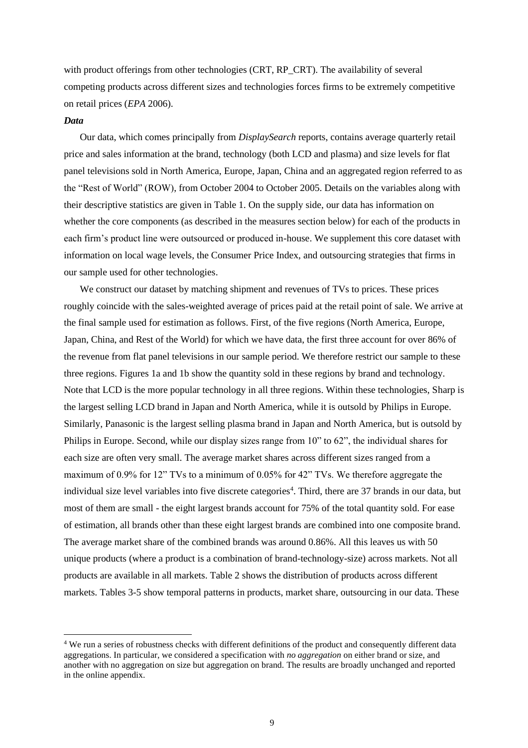with product offerings from other technologies (CRT, RP\_CRT). The availability of several competing products across different sizes and technologies forces firms to be extremely competitive on retail prices (*EPA* 2006).

#### *Data*

Our data, which comes principally from *DisplaySearch* reports, contains average quarterly retail price and sales information at the brand, technology (both LCD and plasma) and size levels for flat panel televisions sold in North America, Europe, Japan, China and an aggregated region referred to as the "Rest of World" (ROW), from October 2004 to October 2005. Details on the variables along with their descriptive statistics are given in Table 1. On the supply side, our data has information on whether the core components (as described in the measures section below) for each of the products in each firm's product line were outsourced or produced in-house. We supplement this core dataset with information on local wage levels, the Consumer Price Index, and outsourcing strategies that firms in our sample used for other technologies.

We construct our dataset by matching shipment and revenues of TVs to prices. These prices roughly coincide with the sales-weighted average of prices paid at the retail point of sale. We arrive at the final sample used for estimation as follows. First, of the five regions (North America, Europe, Japan, China, and Rest of the World) for which we have data, the first three account for over 86% of the revenue from flat panel televisions in our sample period. We therefore restrict our sample to these three regions. Figures 1a and 1b show the quantity sold in these regions by brand and technology. Note that LCD is the more popular technology in all three regions. Within these technologies, Sharp is the largest selling LCD brand in Japan and North America, while it is outsold by Philips in Europe. Similarly, Panasonic is the largest selling plasma brand in Japan and North America, but is outsold by Philips in Europe. Second, while our display sizes range from 10" to 62", the individual shares for each size are often very small. The average market shares across different sizes ranged from a maximum of 0.9% for 12" TVs to a minimum of 0.05% for 42" TVs. We therefore aggregate the individual size level variables into five discrete categories<sup>4</sup>. Third, there are 37 brands in our data, but most of them are small - the eight largest brands account for 75% of the total quantity sold. For ease of estimation, all brands other than these eight largest brands are combined into one composite brand. The average market share of the combined brands was around 0.86%. All this leaves us with 50 unique products (where a product is a combination of brand-technology-size) across markets. Not all products are available in all markets. Table 2 shows the distribution of products across different markets. Tables 3-5 show temporal patterns in products, market share, outsourcing in our data. These

<sup>4</sup> We run a series of robustness checks with different definitions of the product and consequently different data aggregations. In particular, we considered a specification with *no aggregation* on either brand or size, and another with no aggregation on size but aggregation on brand. The results are broadly unchanged and reported in the online appendix.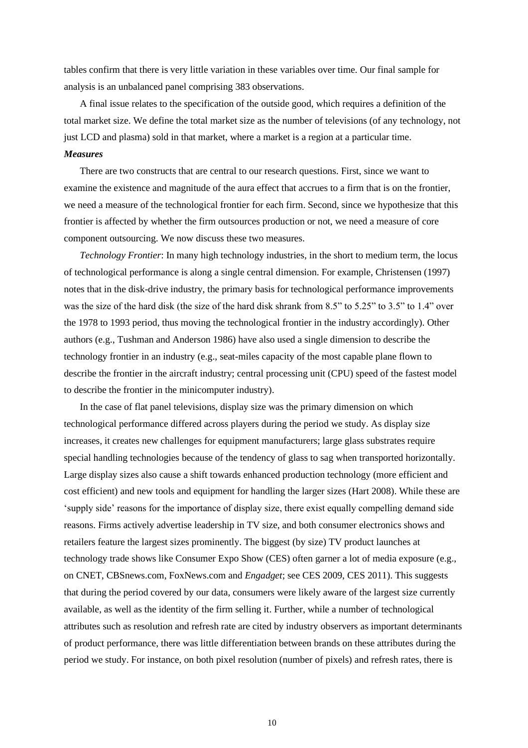tables confirm that there is very little variation in these variables over time. Our final sample for analysis is an unbalanced panel comprising 383 observations.

A final issue relates to the specification of the outside good, which requires a definition of the total market size. We define the total market size as the number of televisions (of any technology, not just LCD and plasma) sold in that market, where a market is a region at a particular time.

### *Measures*

There are two constructs that are central to our research questions. First, since we want to examine the existence and magnitude of the aura effect that accrues to a firm that is on the frontier, we need a measure of the technological frontier for each firm. Second, since we hypothesize that this frontier is affected by whether the firm outsources production or not, we need a measure of core component outsourcing. We now discuss these two measures.

*Technology Frontier*: In many high technology industries, in the short to medium term, the locus of technological performance is along a single central dimension. For example, Christensen (1997) notes that in the disk-drive industry, the primary basis for technological performance improvements was the size of the hard disk (the size of the hard disk shrank from 8.5" to 5.25" to 3.5" to 1.4" over the 1978 to 1993 period, thus moving the technological frontier in the industry accordingly). Other authors (e.g., Tushman and Anderson 1986) have also used a single dimension to describe the technology frontier in an industry (e.g., seat-miles capacity of the most capable plane flown to describe the frontier in the aircraft industry; central processing unit (CPU) speed of the fastest model to describe the frontier in the minicomputer industry).

In the case of flat panel televisions, display size was the primary dimension on which technological performance differed across players during the period we study. As display size increases, it creates new challenges for equipment manufacturers; large glass substrates require special handling technologies because of the tendency of glass to sag when transported horizontally. Large display sizes also cause a shift towards enhanced production technology (more efficient and cost efficient) and new tools and equipment for handling the larger sizes (Hart 2008). While these are 'supply side' reasons for the importance of display size, there exist equally compelling demand side reasons. Firms actively advertise leadership in TV size, and both consumer electronics shows and retailers feature the largest sizes prominently. The biggest (by size) TV product launches at technology trade shows like Consumer Expo Show (CES) often garner a lot of media exposure (e.g., on CNET, CBSnews.com, FoxNews.com and *Engadget*; see CES 2009, CES 2011). This suggests that during the period covered by our data, consumers were likely aware of the largest size currently available, as well as the identity of the firm selling it. Further, while a number of technological attributes such as resolution and refresh rate are cited by industry observers as important determinants of product performance, there was little differentiation between brands on these attributes during the period we study. For instance, on both pixel resolution (number of pixels) and refresh rates, there is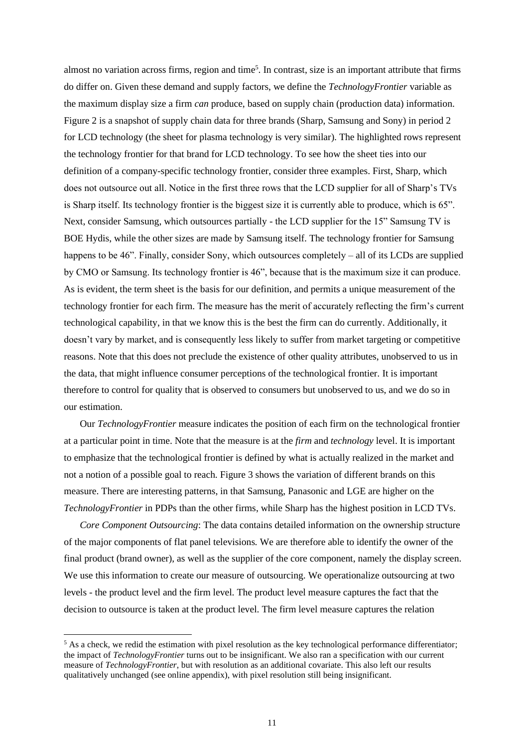almost no variation across firms, region and time<sup>5</sup>. In contrast, size is an important attribute that firms do differ on. Given these demand and supply factors, we define the *TechnologyFrontier* variable as the maximum display size a firm *can* produce, based on supply chain (production data) information. Figure 2 is a snapshot of supply chain data for three brands (Sharp, Samsung and Sony) in period 2 for LCD technology (the sheet for plasma technology is very similar). The highlighted rows represent the technology frontier for that brand for LCD technology. To see how the sheet ties into our definition of a company-specific technology frontier, consider three examples. First, Sharp, which does not outsource out all. Notice in the first three rows that the LCD supplier for all of Sharp's TVs is Sharp itself. Its technology frontier is the biggest size it is currently able to produce, which is 65". Next, consider Samsung, which outsources partially - the LCD supplier for the 15" Samsung TV is BOE Hydis, while the other sizes are made by Samsung itself. The technology frontier for Samsung happens to be 46". Finally, consider Sony, which outsources completely – all of its LCDs are supplied by CMO or Samsung. Its technology frontier is 46", because that is the maximum size it can produce. As is evident, the term sheet is the basis for our definition, and permits a unique measurement of the technology frontier for each firm. The measure has the merit of accurately reflecting the firm's current technological capability, in that we know this is the best the firm can do currently. Additionally, it doesn't vary by market, and is consequently less likely to suffer from market targeting or competitive reasons. Note that this does not preclude the existence of other quality attributes, unobserved to us in the data, that might influence consumer perceptions of the technological frontier. It is important therefore to control for quality that is observed to consumers but unobserved to us, and we do so in our estimation.

Our *TechnologyFrontier* measure indicates the position of each firm on the technological frontier at a particular point in time. Note that the measure is at the *firm* and *technology* level. It is important to emphasize that the technological frontier is defined by what is actually realized in the market and not a notion of a possible goal to reach. Figure 3 shows the variation of different brands on this measure. There are interesting patterns, in that Samsung, Panasonic and LGE are higher on the *TechnologyFrontier* in PDPs than the other firms, while Sharp has the highest position in LCD TVs.

*Core Component Outsourcing*: The data contains detailed information on the ownership structure of the major components of flat panel televisions*.* We are therefore able to identify the owner of the final product (brand owner), as well as the supplier of the core component, namely the display screen. We use this information to create our measure of outsourcing. We operationalize outsourcing at two levels - the product level and the firm level. The product level measure captures the fact that the decision to outsource is taken at the product level. The firm level measure captures the relation

<sup>&</sup>lt;sup>5</sup> As a check, we redid the estimation with pixel resolution as the key technological performance differentiator; the impact of *TechnologyFrontier* turns out to be insignificant. We also ran a specification with our current measure of *TechnologyFrontier*, but with resolution as an additional covariate. This also left our results qualitatively unchanged (see online appendix), with pixel resolution still being insignificant.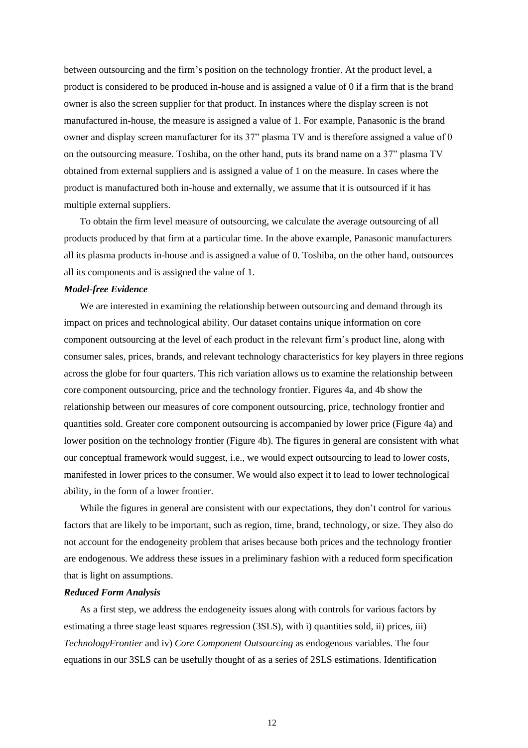between outsourcing and the firm's position on the technology frontier. At the product level, a product is considered to be produced in-house and is assigned a value of 0 if a firm that is the brand owner is also the screen supplier for that product. In instances where the display screen is not manufactured in-house, the measure is assigned a value of 1. For example, Panasonic is the brand owner and display screen manufacturer for its 37" plasma TV and is therefore assigned a value of 0 on the outsourcing measure. Toshiba, on the other hand, puts its brand name on a 37" plasma TV obtained from external suppliers and is assigned a value of 1 on the measure. In cases where the product is manufactured both in-house and externally, we assume that it is outsourced if it has multiple external suppliers.

To obtain the firm level measure of outsourcing, we calculate the average outsourcing of all products produced by that firm at a particular time. In the above example, Panasonic manufacturers all its plasma products in-house and is assigned a value of 0. Toshiba, on the other hand, outsources all its components and is assigned the value of 1.

#### *Model-free Evidence*

We are interested in examining the relationship between outsourcing and demand through its impact on prices and technological ability. Our dataset contains unique information on core component outsourcing at the level of each product in the relevant firm's product line, along with consumer sales, prices, brands, and relevant technology characteristics for key players in three regions across the globe for four quarters. This rich variation allows us to examine the relationship between core component outsourcing, price and the technology frontier. Figures 4a, and 4b show the relationship between our measures of core component outsourcing, price, technology frontier and quantities sold. Greater core component outsourcing is accompanied by lower price (Figure 4a) and lower position on the technology frontier (Figure 4b). The figures in general are consistent with what our conceptual framework would suggest, i.e., we would expect outsourcing to lead to lower costs, manifested in lower prices to the consumer. We would also expect it to lead to lower technological ability, in the form of a lower frontier.

While the figures in general are consistent with our expectations, they don't control for various factors that are likely to be important, such as region, time, brand, technology, or size. They also do not account for the endogeneity problem that arises because both prices and the technology frontier are endogenous. We address these issues in a preliminary fashion with a reduced form specification that is light on assumptions.

#### *Reduced Form Analysis*

As a first step, we address the endogeneity issues along with controls for various factors by estimating a three stage least squares regression (3SLS), with i) quantities sold, ii) prices, iii) *TechnologyFrontier* and iv) *Core Component Outsourcing* as endogenous variables. The four equations in our 3SLS can be usefully thought of as a series of 2SLS estimations. Identification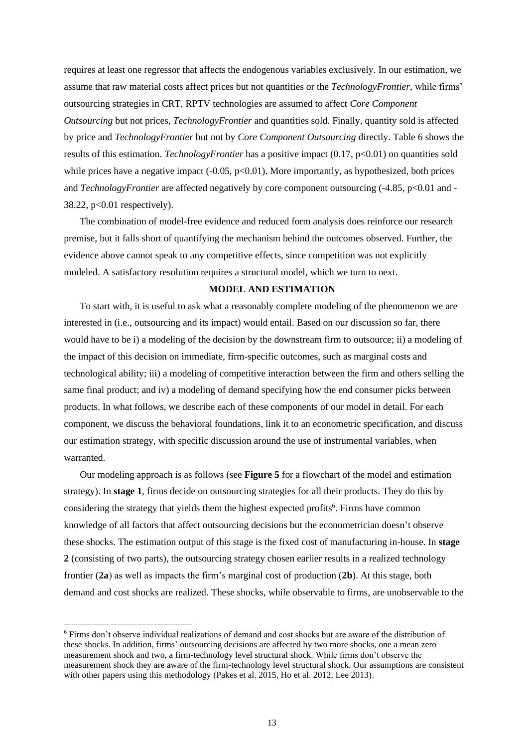requires at least one regressor that affects the endogenous variables exclusively. In our estimation, we assume that raw material costs affect prices but not quantities or the *TechnologyFrontier*, while firms' outsourcing strategies in CRT, RPTV technologies are assumed to affect *Core Component Outsourcing* but not prices, *TechnologyFrontier* and quantities sold. Finally, quantity sold is affected by price and *TechnologyFrontier* but not by *Core Component Outsourcing* directly. Table 6 shows the results of this estimation. *TechnologyFrontier* has a positive impact (0.17, p<0.01) on quantities sold while prices have a negative impact  $(-0.05, p<0.01)$ . More importantly, as hypothesized, both prices and *TechnologyFrontier* are affected negatively by core component outsourcing (-4.85, p<0.01 and -38.22, p<0.01 respectively).

The combination of model-free evidence and reduced form analysis does reinforce our research premise, but it falls short of quantifying the mechanism behind the outcomes observed. Further, the evidence above cannot speak to any competitive effects, since competition was not explicitly modeled. A satisfactory resolution requires a structural model, which we turn to next.

#### **MODEL AND ESTIMATION**

To start with, it is useful to ask what a reasonably complete modeling of the phenomenon we are interested in (i.e., outsourcing and its impact) would entail. Based on our discussion so far, there would have to be i) a modeling of the decision by the downstream firm to outsource; ii) a modeling of the impact of this decision on immediate, firm-specific outcomes, such as marginal costs and technological ability; iii) a modeling of competitive interaction between the firm and others selling the same final product; and iv) a modeling of demand specifying how the end consumer picks between products. In what follows, we describe each of these components of our model in detail. For each component, we discuss the behavioral foundations, link it to an econometric specification, and discuss our estimation strategy, with specific discussion around the use of instrumental variables, when warranted.

Our modeling approach is as follows (see **Figure 5** for a flowchart of the model and estimation strategy). In **stage 1**, firms decide on outsourcing strategies for all their products. They do this by considering the strategy that yields them the highest expected profits<sup>6</sup>. Firms have common knowledge of all factors that affect outsourcing decisions but the econometrician doesn't observe these shocks. The estimation output of this stage is the fixed cost of manufacturing in-house. In **stage 2** (consisting of two parts), the outsourcing strategy chosen earlier results in a realized technology frontier (**2a**) as well as impacts the firm's marginal cost of production (**2b**). At this stage, both demand and cost shocks are realized. These shocks, while observable to firms, are unobservable to the

<sup>6</sup> Firms don't observe individual realizations of demand and cost shocks but are aware of the distribution of these shocks. In addition, firms' outsourcing decisions are affected by two more shocks, one a mean zero measurement shock and two, a firm-technology level structural shock. While firms don't observe the measurement shock they are aware of the firm-technology level structural shock. Our assumptions are consistent with other papers using this methodology (Pakes et al. 2015, Ho et al. 2012, Lee 2013).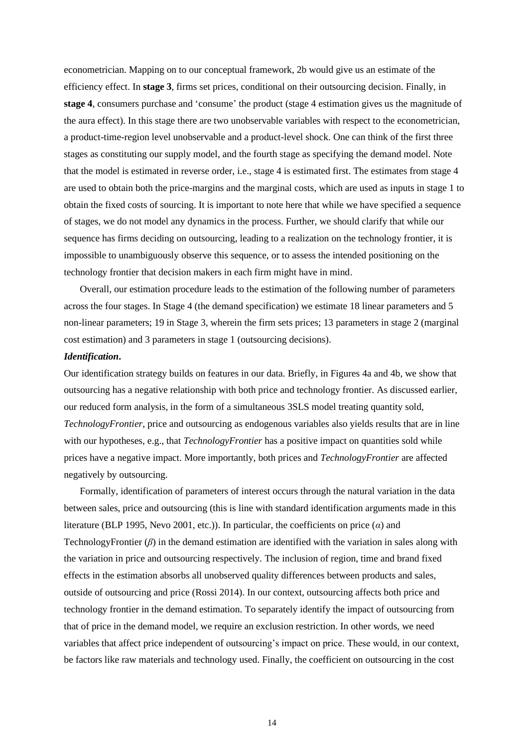econometrician. Mapping on to our conceptual framework, 2b would give us an estimate of the efficiency effect. In **stage 3**, firms set prices, conditional on their outsourcing decision. Finally, in **stage 4**, consumers purchase and 'consume' the product (stage 4 estimation gives us the magnitude of the aura effect). In this stage there are two unobservable variables with respect to the econometrician, a product-time-region level unobservable and a product-level shock. One can think of the first three stages as constituting our supply model, and the fourth stage as specifying the demand model. Note that the model is estimated in reverse order, i.e., stage 4 is estimated first. The estimates from stage 4 are used to obtain both the price-margins and the marginal costs, which are used as inputs in stage 1 to obtain the fixed costs of sourcing. It is important to note here that while we have specified a sequence of stages, we do not model any dynamics in the process. Further, we should clarify that while our sequence has firms deciding on outsourcing, leading to a realization on the technology frontier, it is impossible to unambiguously observe this sequence, or to assess the intended positioning on the technology frontier that decision makers in each firm might have in mind.

Overall, our estimation procedure leads to the estimation of the following number of parameters across the four stages. In Stage 4 (the demand specification) we estimate 18 linear parameters and 5 non-linear parameters; 19 in Stage 3, wherein the firm sets prices; 13 parameters in stage 2 (marginal cost estimation) and 3 parameters in stage 1 (outsourcing decisions).

#### *Identification***.**

Our identification strategy builds on features in our data. Briefly, in Figures 4a and 4b, we show that outsourcing has a negative relationship with both price and technology frontier. As discussed earlier, our reduced form analysis, in the form of a simultaneous 3SLS model treating quantity sold, *TechnologyFrontier*, price and outsourcing as endogenous variables also yields results that are in line with our hypotheses, e.g., that *TechnologyFrontier* has a positive impact on quantities sold while prices have a negative impact. More importantly, both prices and *TechnologyFrontier* are affected negatively by outsourcing.

Formally, identification of parameters of interest occurs through the natural variation in the data between sales, price and outsourcing (this is line with standard identification arguments made in this literature (BLP 1995, Nevo 2001, etc.)). In particular, the coefficients on price  $(\alpha)$  and TechnologyFrontier (*β*) in the demand estimation are identified with the variation in sales along with the variation in price and outsourcing respectively. The inclusion of region, time and brand fixed effects in the estimation absorbs all unobserved quality differences between products and sales, outside of outsourcing and price (Rossi 2014). In our context, outsourcing affects both price and technology frontier in the demand estimation. To separately identify the impact of outsourcing from that of price in the demand model, we require an exclusion restriction. In other words, we need variables that affect price independent of outsourcing's impact on price. These would, in our context, be factors like raw materials and technology used. Finally, the coefficient on outsourcing in the cost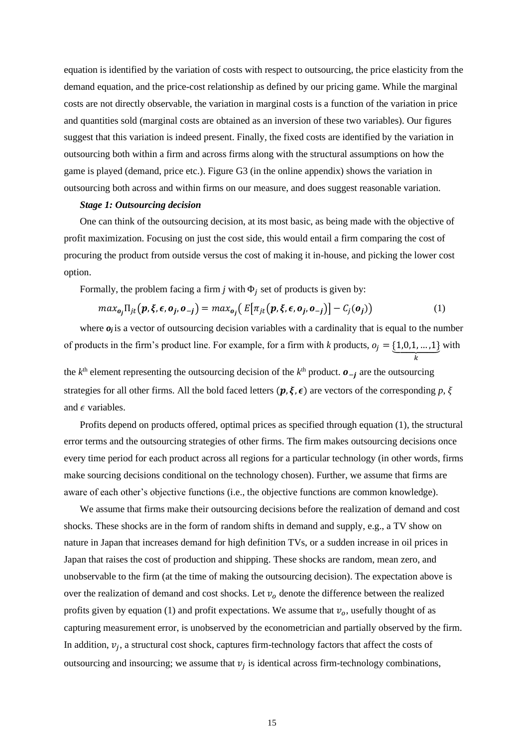equation is identified by the variation of costs with respect to outsourcing, the price elasticity from the demand equation, and the price-cost relationship as defined by our pricing game. While the marginal costs are not directly observable, the variation in marginal costs is a function of the variation in price and quantities sold (marginal costs are obtained as an inversion of these two variables). Our figures suggest that this variation is indeed present. Finally, the fixed costs are identified by the variation in outsourcing both within a firm and across firms along with the structural assumptions on how the game is played (demand, price etc.). Figure G3 (in the online appendix) shows the variation in outsourcing both across and within firms on our measure, and does suggest reasonable variation.

#### *Stage 1: Outsourcing decision*

One can think of the outsourcing decision, at its most basic, as being made with the objective of profit maximization. Focusing on just the cost side, this would entail a firm comparing the cost of procuring the product from outside versus the cost of making it in-house, and picking the lower cost option.

Formally, the problem facing a firm  $j$  with  $\Phi_j$  set of products is given by:

$$
max_{\mathbf{o}_j} \Pi_{jt}(\mathbf{p}, \xi, \epsilon, \mathbf{o}_j, \mathbf{o}_{-j}) = max_{\mathbf{o}_j} (E[\pi_{jt}(\mathbf{p}, \xi, \epsilon, \mathbf{o}_j, \mathbf{o}_{-j})] - C_j(\mathbf{o}_j))
$$
(1)

where  $o_j$  is a vector of outsourcing decision variables with a cardinality that is equal to the number of products in the firm's product line. For example, for a firm with *k* products,  $o_j = \{1, 0, 1, ..., 1\}$  $\boldsymbol{k}$ with

the  $k<sup>th</sup>$  element representing the outsourcing decision of the  $k<sup>th</sup>$  product.  $\boldsymbol{o}_{-j}$  are the outsourcing strategies for all other firms. All the bold faced letters  $(p, \xi, \epsilon)$  are vectors of the corresponding p,  $\xi$ and  $\epsilon$  variables.

Profits depend on products offered, optimal prices as specified through equation (1), the structural error terms and the outsourcing strategies of other firms. The firm makes outsourcing decisions once every time period for each product across all regions for a particular technology (in other words, firms make sourcing decisions conditional on the technology chosen). Further, we assume that firms are aware of each other's objective functions (i.e., the objective functions are common knowledge).

We assume that firms make their outsourcing decisions before the realization of demand and cost shocks. These shocks are in the form of random shifts in demand and supply, e.g., a TV show on nature in Japan that increases demand for high definition TVs, or a sudden increase in oil prices in Japan that raises the cost of production and shipping. These shocks are random, mean zero, and unobservable to the firm (at the time of making the outsourcing decision). The expectation above is over the realization of demand and cost shocks. Let  $v<sub>o</sub>$  denote the difference between the realized profits given by equation (1) and profit expectations. We assume that  $v<sub>o</sub>$ , usefully thought of as capturing measurement error, is unobserved by the econometrician and partially observed by the firm. In addition,  $v_j$ , a structural cost shock, captures firm-technology factors that affect the costs of outsourcing and insourcing; we assume that  $v_j$  is identical across firm-technology combinations,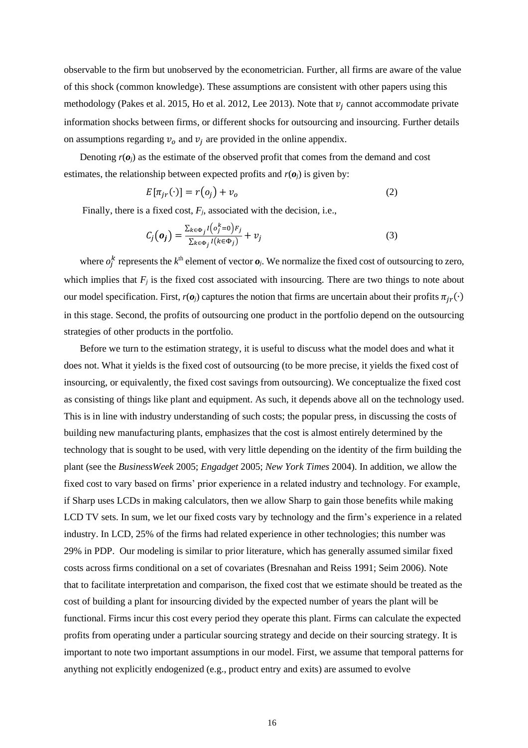observable to the firm but unobserved by the econometrician. Further, all firms are aware of the value of this shock (common knowledge). These assumptions are consistent with other papers using this methodology (Pakes et al. 2015, Ho et al. 2012, Lee 2013). Note that  $v_j$  cannot accommodate private information shocks between firms, or different shocks for outsourcing and insourcing. Further details on assumptions regarding  $v_0$  and  $v_j$  are provided in the online appendix.

Denoting  $r(o_j)$  as the estimate of the observed profit that comes from the demand and cost estimates, the relationship between expected profits and  $r(\boldsymbol{o}_i)$  is given by:

$$
E[\pi_{jr}(\cdot)] = r(o_j) + v_o \tag{2}
$$

Finally, there is a fixed cost, *Fj*, associated with the decision, i.e.,

$$
C_j(\mathbf{o}_j) = \frac{\sum_{k \in \Phi_j} I(o_j^k = 0) F_j}{\sum_{k \in \Phi_j} I(k \in \Phi_j)} + v_j
$$
\n(3)

where  $o_j^k$  represents the  $k^{\text{th}}$  element of vector  $o_j$ . We normalize the fixed cost of outsourcing to zero, which implies that  $F_j$  is the fixed cost associated with insourcing. There are two things to note about our model specification. First,  $r(o_j)$  captures the notion that firms are uncertain about their profits  $\pi_{ir}(\cdot)$ in this stage. Second, the profits of outsourcing one product in the portfolio depend on the outsourcing strategies of other products in the portfolio.

Before we turn to the estimation strategy, it is useful to discuss what the model does and what it does not. What it yields is the fixed cost of outsourcing (to be more precise, it yields the fixed cost of insourcing, or equivalently, the fixed cost savings from outsourcing). We conceptualize the fixed cost as consisting of things like plant and equipment. As such, it depends above all on the technology used. This is in line with industry understanding of such costs; the popular press, in discussing the costs of building new manufacturing plants, emphasizes that the cost is almost entirely determined by the technology that is sought to be used, with very little depending on the identity of the firm building the plant (see the *BusinessWeek* 2005; *Engadget* 2005; *New York Times* 2004). In addition, we allow the fixed cost to vary based on firms' prior experience in a related industry and technology. For example, if Sharp uses LCDs in making calculators, then we allow Sharp to gain those benefits while making LCD TV sets. In sum, we let our fixed costs vary by technology and the firm's experience in a related industry. In LCD, 25% of the firms had related experience in other technologies; this number was 29% in PDP. Our modeling is similar to prior literature, which has generally assumed similar fixed costs across firms conditional on a set of covariates (Bresnahan and Reiss 1991; Seim 2006). Note that to facilitate interpretation and comparison, the fixed cost that we estimate should be treated as the cost of building a plant for insourcing divided by the expected number of years the plant will be functional. Firms incur this cost every period they operate this plant. Firms can calculate the expected profits from operating under a particular sourcing strategy and decide on their sourcing strategy. It is important to note two important assumptions in our model. First, we assume that temporal patterns for anything not explicitly endogenized (e.g., product entry and exits) are assumed to evolve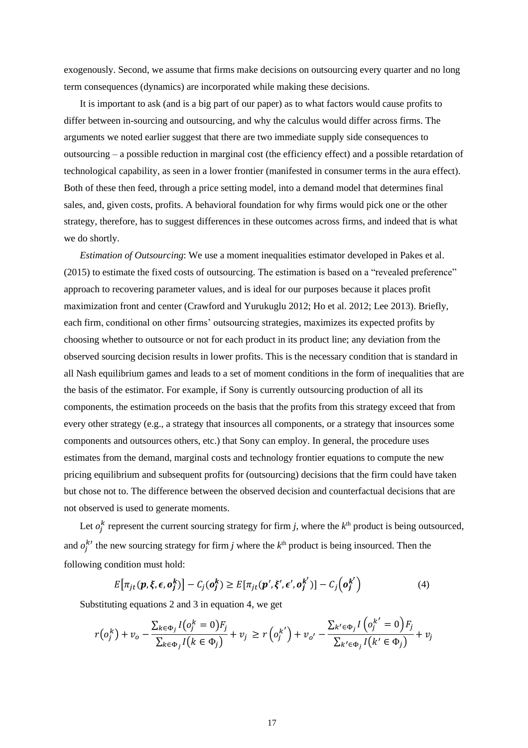exogenously. Second, we assume that firms make decisions on outsourcing every quarter and no long term consequences (dynamics) are incorporated while making these decisions.

It is important to ask (and is a big part of our paper) as to what factors would cause profits to differ between in-sourcing and outsourcing, and why the calculus would differ across firms. The arguments we noted earlier suggest that there are two immediate supply side consequences to outsourcing – a possible reduction in marginal cost (the efficiency effect) and a possible retardation of technological capability, as seen in a lower frontier (manifested in consumer terms in the aura effect). Both of these then feed, through a price setting model, into a demand model that determines final sales, and, given costs, profits. A behavioral foundation for why firms would pick one or the other strategy, therefore, has to suggest differences in these outcomes across firms, and indeed that is what we do shortly.

*Estimation of Outsourcing*: We use a moment inequalities estimator developed in Pakes et al. (2015) to estimate the fixed costs of outsourcing. The estimation is based on a "revealed preference" approach to recovering parameter values, and is ideal for our purposes because it places profit maximization front and center (Crawford and Yurukuglu 2012; Ho et al. 2012; Lee 2013). Briefly, each firm, conditional on other firms' outsourcing strategies, maximizes its expected profits by choosing whether to outsource or not for each product in its product line; any deviation from the observed sourcing decision results in lower profits. This is the necessary condition that is standard in all Nash equilibrium games and leads to a set of moment conditions in the form of inequalities that are the basis of the estimator. For example, if Sony is currently outsourcing production of all its components, the estimation proceeds on the basis that the profits from this strategy exceed that from every other strategy (e.g., a strategy that insources all components, or a strategy that insources some components and outsources others, etc.) that Sony can employ. In general, the procedure uses estimates from the demand, marginal costs and technology frontier equations to compute the new pricing equilibrium and subsequent profits for (outsourcing) decisions that the firm could have taken but chose not to. The difference between the observed decision and counterfactual decisions that are not observed is used to generate moments.

Let  $o_j^k$  represent the current sourcing strategy for firm *j*, where the  $k^{\text{th}}$  product is being outsourced, and  $o_j^{k'}$  the new sourcing strategy for firm *j* where the  $k^{th}$  product is being insourced. Then the following condition must hold:

$$
E[\pi_{jt}(\boldsymbol{p},\boldsymbol{\xi},\boldsymbol{\epsilon},\boldsymbol{o}_j^k)] - C_j(\boldsymbol{o}_j^k) \ge E[\pi_{jt}(\boldsymbol{p}',\boldsymbol{\xi}',\boldsymbol{\epsilon}',\boldsymbol{o}_j^{k'})] - C_j(\boldsymbol{o}_j^{k'}) \qquad (4)
$$

Substituting equations 2 and 3 in equation 4, we get

$$
r(o_j^k) + v_o - \frac{\sum_{k \in \Phi_j} I(o_j^k = 0)F_j}{\sum_{k \in \Phi_j} I(k \in \Phi_j)} + v_j \ge r(o_j^{k'}) + v_{o'} - \frac{\sum_{k' \in \Phi_j} I(o_j^{k'} = 0)F_j}{\sum_{k' \in \Phi_j} I(k' \in \Phi_j)} + v_j
$$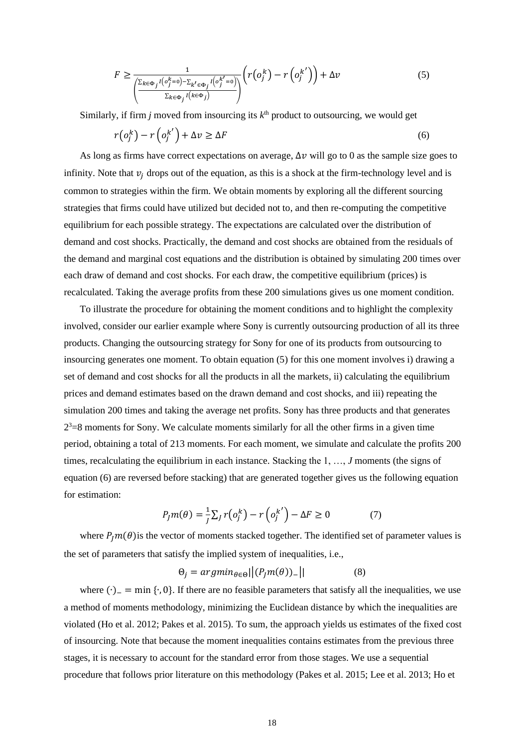$$
F \geq \frac{1}{\left(\frac{\sum_{k \in \Phi_j} l(o_j^k = 0) - \sum_{k' \in \Phi_j} l(o_j^{k'} = 0)}{\sum_{k \in \Phi_j} l(k \in \Phi_j)}\right)} \left(r(o_j^k) - r(o_j^{k'})\right) + \Delta v \tag{5}
$$

Similarly, if firm  $j$  moved from insourcing its  $k<sup>th</sup>$  product to outsourcing, we would get

$$
r(o_j^k) - r(o_j^{k'}) + \Delta v \ge \Delta F \tag{6}
$$

As long as firms have correct expectations on average,  $\Delta v$  will go to 0 as the sample size goes to infinity. Note that  $v_i$  drops out of the equation, as this is a shock at the firm-technology level and is common to strategies within the firm. We obtain moments by exploring all the different sourcing strategies that firms could have utilized but decided not to, and then re-computing the competitive equilibrium for each possible strategy. The expectations are calculated over the distribution of demand and cost shocks. Practically, the demand and cost shocks are obtained from the residuals of the demand and marginal cost equations and the distribution is obtained by simulating 200 times over each draw of demand and cost shocks. For each draw, the competitive equilibrium (prices) is recalculated. Taking the average profits from these 200 simulations gives us one moment condition.

To illustrate the procedure for obtaining the moment conditions and to highlight the complexity involved, consider our earlier example where Sony is currently outsourcing production of all its three products. Changing the outsourcing strategy for Sony for one of its products from outsourcing to insourcing generates one moment. To obtain equation (5) for this one moment involves i) drawing a set of demand and cost shocks for all the products in all the markets, ii) calculating the equilibrium prices and demand estimates based on the drawn demand and cost shocks, and iii) repeating the simulation 200 times and taking the average net profits. Sony has three products and that generates  $2<sup>3</sup>=8$  moments for Sony. We calculate moments similarly for all the other firms in a given time period, obtaining a total of 213 moments. For each moment, we simulate and calculate the profits 200 times, recalculating the equilibrium in each instance. Stacking the 1, …, *J* moments (the signs of equation (6) are reversed before stacking) that are generated together gives us the following equation for estimation:

$$
P_j m(\theta) = \frac{1}{j} \sum_j r(o_j^k) - r(o_j^{k'}) - \Delta F \ge 0 \tag{7}
$$

where  $P_l m(\theta)$  is the vector of moments stacked together. The identified set of parameter values is the set of parameters that satisfy the implied system of inequalities, i.e.,

$$
\Theta_j = argmin_{\theta \in \Theta} | (P_j m(\theta))_- | | \qquad (8)
$$

where  $(·)$  = min  ${·}$ , 0}. If there are no feasible parameters that satisfy all the inequalities, we use a method of moments methodology, minimizing the Euclidean distance by which the inequalities are violated (Ho et al. 2012; Pakes et al. 2015). To sum, the approach yields us estimates of the fixed cost of insourcing. Note that because the moment inequalities contains estimates from the previous three stages, it is necessary to account for the standard error from those stages. We use a sequential procedure that follows prior literature on this methodology (Pakes et al. 2015; Lee et al. 2013; Ho et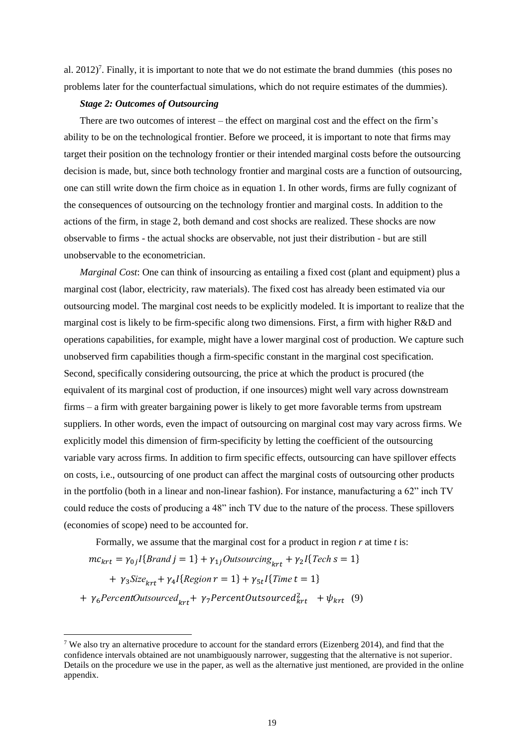al.  $2012$ <sup>7</sup>. Finally, it is important to note that we do not estimate the brand dummies (this poses no problems later for the counterfactual simulations, which do not require estimates of the dummies).

#### *Stage 2: Outcomes of Outsourcing*

There are two outcomes of interest – the effect on marginal cost and the effect on the firm's ability to be on the technological frontier. Before we proceed, it is important to note that firms may target their position on the technology frontier or their intended marginal costs before the outsourcing decision is made, but, since both technology frontier and marginal costs are a function of outsourcing, one can still write down the firm choice as in equation 1. In other words, firms are fully cognizant of the consequences of outsourcing on the technology frontier and marginal costs. In addition to the actions of the firm, in stage 2, both demand and cost shocks are realized. These shocks are now observable to firms - the actual shocks are observable, not just their distribution - but are still unobservable to the econometrician.

*Marginal Cost*: One can think of insourcing as entailing a fixed cost (plant and equipment) plus a marginal cost (labor, electricity, raw materials). The fixed cost has already been estimated via our outsourcing model. The marginal cost needs to be explicitly modeled. It is important to realize that the marginal cost is likely to be firm-specific along two dimensions. First, a firm with higher R&D and operations capabilities, for example, might have a lower marginal cost of production. We capture such unobserved firm capabilities though a firm-specific constant in the marginal cost specification. Second, specifically considering outsourcing, the price at which the product is procured (the equivalent of its marginal cost of production, if one insources) might well vary across downstream firms – a firm with greater bargaining power is likely to get more favorable terms from upstream suppliers. In other words, even the impact of outsourcing on marginal cost may vary across firms. We explicitly model this dimension of firm-specificity by letting the coefficient of the outsourcing variable vary across firms. In addition to firm specific effects, outsourcing can have spillover effects on costs, i.e., outsourcing of one product can affect the marginal costs of outsourcing other products in the portfolio (both in a linear and non-linear fashion). For instance, manufacturing a 62" inch TV could reduce the costs of producing a 48" inch TV due to the nature of the process. These spillovers (economies of scope) need to be accounted for.

Formally, we assume that the marginal cost for a product in region *r* at time *t* is:

$$
mc_{krt} = \gamma_{0j} I\{Brand\ j = 1\} + \gamma_{1j} Outsourcing_{krt} + \gamma_{2} I\{ Tech\ s = 1\}
$$

 $+ \gamma_3 Size_{krt} + \gamma_4 I\{Region r = 1\} + \gamma_{5t} I\{Time t = 1\}$ 

 $+ \gamma_6$ PercentOutsourced<sub>krt</sub> +  $\gamma_7$ PercentOutsourced $k_{\text{krt}}$  +  $\psi_{\text{krt}}$  (9)

<sup>7</sup> We also try an alternative procedure to account for the standard errors (Eizenberg 2014), and find that the confidence intervals obtained are not unambiguously narrower, suggesting that the alternative is not superior. Details on the procedure we use in the paper, as well as the alternative just mentioned, are provided in the online appendix.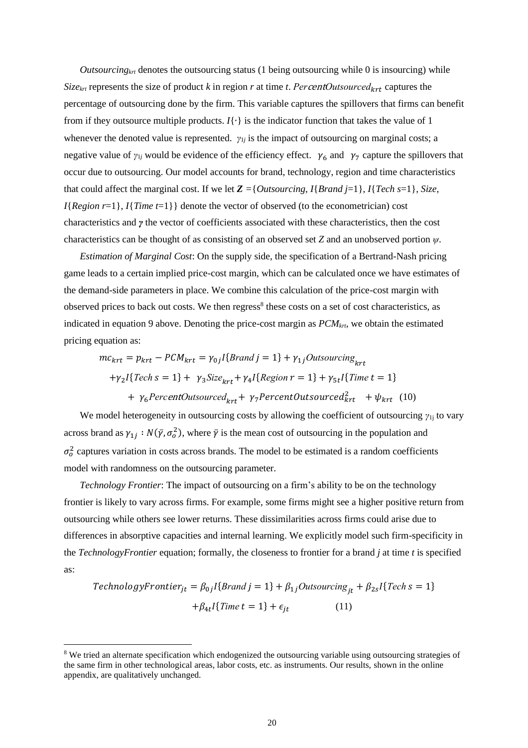*Outsourcingkrt* denotes the outsourcing status (1 being outsourcing while 0 is insourcing) while *Size<sub>krt</sub>* represents the size of product *k* in region *r* at time *t*. *PercentOutsourced<sub>krt</sub>* captures the percentage of outsourcing done by the firm. This variable captures the spillovers that firms can benefit from if they outsource multiple products. *I*{∙} is the indicator function that takes the value of 1 whenever the denoted value is represented. *γ*<sub>1*j*</sub> is the impact of outsourcing on marginal costs; a negative value of  $\gamma_{1j}$  would be evidence of the efficiency effect.  $\gamma_6$  and  $\gamma_7$  capture the spillovers that occur due to outsourcing. Our model accounts for brand, technology, region and time characteristics that could affect the marginal cost. If we let  $\mathbb{Z} = \{Outsourcing, I\{Brand\} = 1\}$ ,  $I\{ Tech\ s = 1\}$ , *Size*,  $I{Region r=1}$ ,  $I{Time t=1}$  denote the vector of observed (to the econometrician) cost characteristics and *γ* the vector of coefficients associated with these characteristics, then the cost characteristics can be thought of as consisting of an observed set *Z* and an unobserved portion *ψ*.

*Estimation of Marginal Cost*: On the supply side, the specification of a Bertrand-Nash pricing game leads to a certain implied price-cost margin, which can be calculated once we have estimates of the demand-side parameters in place. We combine this calculation of the price-cost margin with observed prices to back out costs. We then regress<sup>8</sup> these costs on a set of cost characteristics, as indicated in equation 9 above. Denoting the price-cost margin as *PCMkrt*, we obtain the estimated pricing equation as:

$$
mc_{krt} = p_{krt} - PCM_{krt} = \gamma_{0j}I\{Brand\ j = 1\} + \gamma_{1j}Outsourcing_{krt}
$$

$$
+ \gamma_{2}I\{Tech\ s = 1\} + \gamma_{3}Size_{krt} + \gamma_{4}I\{Region\ r = 1\} + \gamma_{5t}I\{Time\ t = 1\}
$$

$$
+ \gamma_{6}PercentOutsourced_{krt} + \gamma_{7}PercentOutsourced_{krt}^{2} + \psi_{krt} \quad (10)
$$

We model heterogeneity in outsourcing costs by allowing the coefficient of outsourcing *γ*<sub>1j</sub> to vary across brand as  $\gamma_{1j} : N(\bar{y}, \sigma_0^2)$ , where  $\bar{y}$  is the mean cost of outsourcing in the population and  $\sigma_0^2$  captures variation in costs across brands. The model to be estimated is a random coefficients model with randomness on the outsourcing parameter.

*Technology Frontier*: The impact of outsourcing on a firm's ability to be on the technology frontier is likely to vary across firms. For example, some firms might see a higher positive return from outsourcing while others see lower returns. These dissimilarities across firms could arise due to differences in absorptive capacities and internal learning. We explicitly model such firm-specificity in the *TechnologyFrontier* equation; formally, the closeness to frontier for a brand *j* at time *t* is specified as:

$$
TechnologyFrontier_{jt} = \beta_{0j} I\{Brand\ j = 1\} + \beta_{1j} Outsources_{jt} + \beta_{2s} I\{ Tech\ s = 1\} + \beta_{4t} I\{ Time\ t = 1\} + \epsilon_{jt}
$$
\n
$$
(11)
$$

<sup>&</sup>lt;sup>8</sup> We tried an alternate specification which endogenized the outsourcing variable using outsourcing strategies of the same firm in other technological areas, labor costs, etc. as instruments. Our results, shown in the online appendix, are qualitatively unchanged.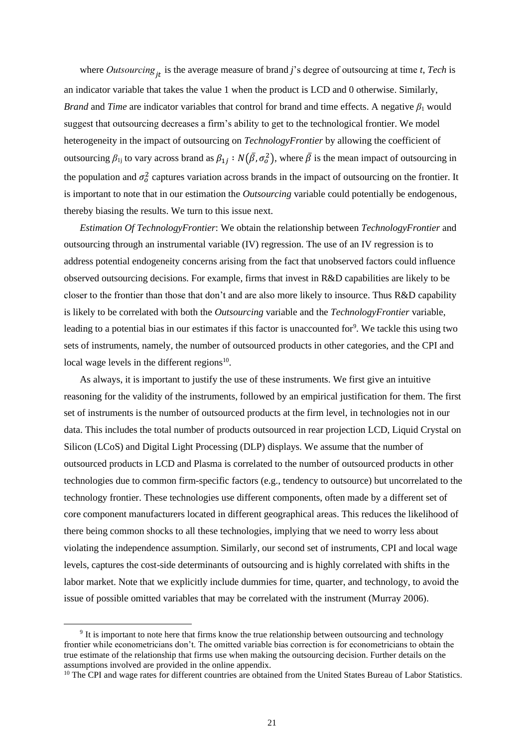where *Outsourcing* is the average measure of brand *j*'s degree of outsourcing at time *t*, *Tech* is an indicator variable that takes the value 1 when the product is LCD and 0 otherwise. Similarly, *Brand* and *Time* are indicator variables that control for brand and time effects. A negative  $\beta_1$  would suggest that outsourcing decreases a firm's ability to get to the technological frontier. We model heterogeneity in the impact of outsourcing on *TechnologyFrontier* by allowing the coefficient of outsourcing  $\beta_{1j}$  to vary across brand as  $\beta_{1j} : N(\bar{\beta}, \sigma_o^2)$ , where  $\bar{\beta}$  is the mean impact of outsourcing in the population and  $\sigma_0^2$  captures variation across brands in the impact of outsourcing on the frontier. It is important to note that in our estimation the *Outsourcing* variable could potentially be endogenous, thereby biasing the results. We turn to this issue next.

*Estimation Of TechnologyFrontier*: We obtain the relationship between *TechnologyFrontier* and outsourcing through an instrumental variable (IV) regression. The use of an IV regression is to address potential endogeneity concerns arising from the fact that unobserved factors could influence observed outsourcing decisions. For example, firms that invest in R&D capabilities are likely to be closer to the frontier than those that don't and are also more likely to insource. Thus R&D capability is likely to be correlated with both the *Outsourcing* variable and the *TechnologyFrontier* variable, leading to a potential bias in our estimates if this factor is unaccounted for<sup>9</sup>. We tackle this using two sets of instruments, namely, the number of outsourced products in other categories, and the CPI and local wage levels in the different regions<sup>10</sup>.

As always, it is important to justify the use of these instruments. We first give an intuitive reasoning for the validity of the instruments, followed by an empirical justification for them. The first set of instruments is the number of outsourced products at the firm level, in technologies not in our data. This includes the total number of products outsourced in rear projection LCD, Liquid Crystal on Silicon (LCoS) and Digital Light Processing (DLP) displays. We assume that the number of outsourced products in LCD and Plasma is correlated to the number of outsourced products in other technologies due to common firm-specific factors (e.g., tendency to outsource) but uncorrelated to the technology frontier. These technologies use different components, often made by a different set of core component manufacturers located in different geographical areas. This reduces the likelihood of there being common shocks to all these technologies, implying that we need to worry less about violating the independence assumption. Similarly, our second set of instruments, CPI and local wage levels, captures the cost-side determinants of outsourcing and is highly correlated with shifts in the labor market. Note that we explicitly include dummies for time, quarter, and technology, to avoid the issue of possible omitted variables that may be correlated with the instrument (Murray 2006).

<sup>&</sup>lt;sup>9</sup> It is important to note here that firms know the true relationship between outsourcing and technology frontier while econometricians don't. The omitted variable bias correction is for econometricians to obtain the true estimate of the relationship that firms use when making the outsourcing decision. Further details on the assumptions involved are provided in the online appendix.

<sup>&</sup>lt;sup>10</sup> The CPI and wage rates for different countries are obtained from the United States Bureau of Labor Statistics.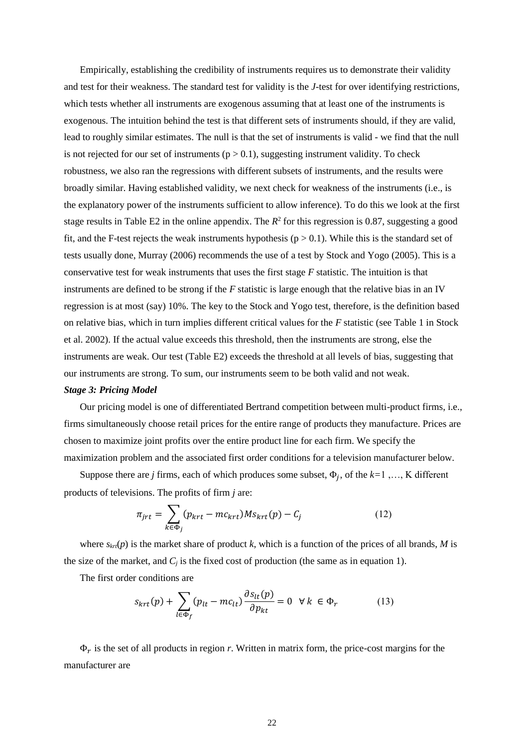Empirically, establishing the credibility of instruments requires us to demonstrate their validity and test for their weakness. The standard test for validity is the *J*-test for over identifying restrictions, which tests whether all instruments are exogenous assuming that at least one of the instruments is exogenous. The intuition behind the test is that different sets of instruments should, if they are valid, lead to roughly similar estimates. The null is that the set of instruments is valid - we find that the null is not rejected for our set of instruments  $(p > 0.1)$ , suggesting instrument validity. To check robustness, we also ran the regressions with different subsets of instruments, and the results were broadly similar. Having established validity, we next check for weakness of the instruments (i.e., is the explanatory power of the instruments sufficient to allow inference). To do this we look at the first stage results in Table E2 in the online appendix. The  $R^2$  for this regression is 0.87, suggesting a good fit, and the F-test rejects the weak instruments hypothesis ( $p > 0.1$ ). While this is the standard set of tests usually done, Murray (2006) recommends the use of a test by Stock and Yogo (2005). This is a conservative test for weak instruments that uses the first stage *F* statistic. The intuition is that instruments are defined to be strong if the *F* statistic is large enough that the relative bias in an IV regression is at most (say) 10%. The key to the Stock and Yogo test, therefore, is the definition based on relative bias, which in turn implies different critical values for the *F* statistic (see Table 1 in Stock et al. 2002). If the actual value exceeds this threshold, then the instruments are strong, else the instruments are weak. Our test (Table E2) exceeds the threshold at all levels of bias, suggesting that our instruments are strong. To sum, our instruments seem to be both valid and not weak.

#### *Stage 3: Pricing Model*

Our pricing model is one of differentiated Bertrand competition between multi-product firms, i.e., firms simultaneously choose retail prices for the entire range of products they manufacture. Prices are chosen to maximize joint profits over the entire product line for each firm. We specify the maximization problem and the associated first order conditions for a television manufacturer below.

Suppose there are *j* firms, each of which produces some subset,  $\Phi_j$ , of the  $k=1, ..., K$  different products of televisions. The profits of firm *j* are:

$$
\pi_{jrt} = \sum_{k \in \Phi_j} (p_{krt} - mc_{krt}) M s_{krt}(p) - C_j \tag{12}
$$

where  $s_{krt}(p)$  is the market share of product *k*, which is a function of the prices of all brands, *M* is the size of the market, and  $C_i$  is the fixed cost of production (the same as in equation 1).

The first order conditions are

$$
s_{krt}(p) + \sum_{l \in \Phi_f} (p_{lt} - mc_{lt}) \frac{\partial s_{lt}(p)}{\partial p_{kt}} = 0 \quad \forall \ k \in \Phi_r \tag{13}
$$

 $\Phi_r$  is the set of all products in region *r*. Written in matrix form, the price-cost margins for the manufacturer are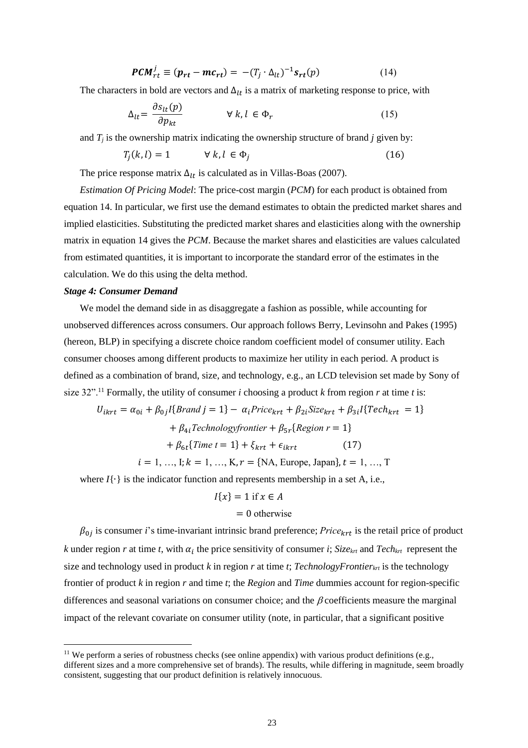$$
PCM_{rt}^j \equiv (p_{rt} - mc_{rt}) = -(T_j \cdot \Delta_{lt})^{-1} s_{rt}(p) \tag{14}
$$

The characters in bold are vectors and  $\Delta_{lt}$  is a matrix of marketing response to price, with

$$
\Delta_{lt} = \frac{\partial s_{lt}(p)}{\partial p_{kt}} \qquad \forall k, l \in \Phi_r \tag{15}
$$

and  $T_i$  is the ownership matrix indicating the ownership structure of brand  $j$  given by:

$$
T_j(k,l) = 1 \qquad \forall k, l \in \Phi_j \tag{16}
$$

The price response matrix  $\Delta_{lt}$  is calculated as in Villas-Boas (2007).

*Estimation Of Pricing Model*: The price-cost margin (*PCM*) for each product is obtained from equation 14. In particular, we first use the demand estimates to obtain the predicted market shares and implied elasticities. Substituting the predicted market shares and elasticities along with the ownership matrix in equation 14 gives the *PCM*. Because the market shares and elasticities are values calculated from estimated quantities, it is important to incorporate the standard error of the estimates in the calculation. We do this using the delta method.

#### *Stage 4: Consumer Demand*

We model the demand side in as disaggregate a fashion as possible, while accounting for unobserved differences across consumers. Our approach follows Berry, Levinsohn and Pakes (1995) (hereon, BLP) in specifying a discrete choice random coefficient model of consumer utility. Each consumer chooses among different products to maximize her utility in each period. A product is defined as a combination of brand, size, and technology, e.g., an LCD television set made by Sony of size 32".<sup>11</sup> Formally, the utility of consumer *i* choosing a product *k* from region *r* at time *t* is:

$$
U_{ikrt} = \alpha_{0i} + \beta_{0j} I\{Brand\ j = 1\} - \alpha_i Price_{krt} + \beta_{2i} Size_{krt} + \beta_{3i} I\{ Tech_{krt} = 1\}
$$

$$
+ \beta_{4i} Technologyfrontier + \beta_{5r} \{ Region\ r = 1\}
$$

$$
+ \beta_{6t} \{ Time\ t = 1\} + \xi_{krt} + \epsilon_{ikrt} \qquad (17)
$$

$$
i = 1, ..., I; k = 1, ..., K, r = \{ NA, Europe, Japan\}, t = 1, ..., T
$$

where *I*{∙} is the indicator function and represents membership in a set A, i.e.,

$$
I\{x\} = 1 \text{ if } x \in A
$$

### $= 0$  otherwise

 $\beta_{0j}$  is consumer *i*'s time-invariant intrinsic brand preference; *Price<sub>krt</sub>* is the retail price of product *k* under region *r* at time *t*, with  $\alpha_i$  the price sensitivity of consumer *i*; *Size<sub>krt</sub>* and *Tech<sub>krt</sub>* represent the size and technology used in product *k* in region *r* at time *t*; *TechnologyFrontierkrt* is the technology frontier of product *k* in region *r* and time *t*; the *Region* and *Time* dummies account for region-specific differences and seasonal variations on consumer choice; and the  $\beta$  coefficients measure the marginal impact of the relevant covariate on consumer utility (note, in particular, that a significant positive

<sup>&</sup>lt;sup>11</sup> We perform a series of robustness checks (see online appendix) with various product definitions (e.g., different sizes and a more comprehensive set of brands). The results, while differing in magnitude, seem broadly consistent, suggesting that our product definition is relatively innocuous.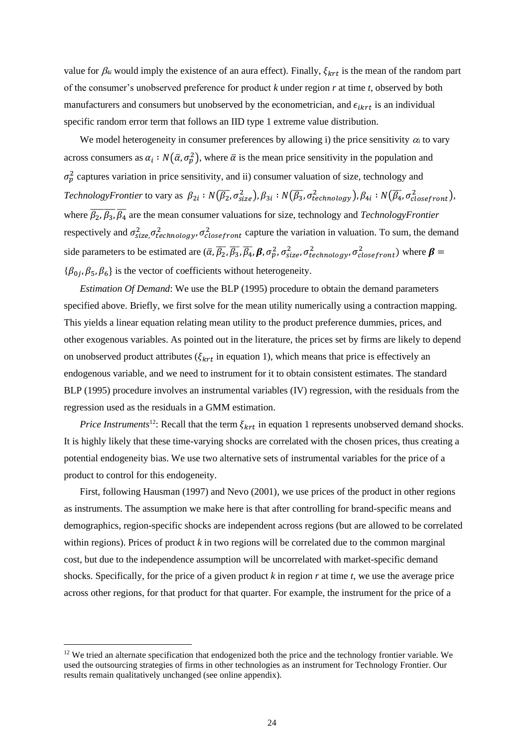value for  $\beta_{4i}$  would imply the existence of an aura effect). Finally,  $\xi_{krt}$  is the mean of the random part of the consumer's unobserved preference for product *k* under region *r* at time *t*, observed by both manufacturers and consumers but unobserved by the econometrician, and  $\epsilon_{ikrt}$  is an individual specific random error term that follows an IID type 1 extreme value distribution.

We model heterogeneity in consumer preferences by allowing i) the price sensitivity  $\alpha_i$  to vary across consumers as  $\alpha_i : N(\bar{\alpha}, \sigma_p^2)$ , where  $\bar{\alpha}$  is the mean price sensitivity in the population and  $\sigma_p^2$  captures variation in price sensitivity, and ii) consumer valuation of size, technology and *TechnologyFrontier* to vary as  $\beta_{2i} : N(\overline{\beta_2}, \sigma_{size}^2), \beta_{3i} : N(\overline{\beta_3}, \sigma_{technology}^2), \beta_{4i} : N(\overline{\beta_4}, \sigma_{closefront}^2),$ where  $\overline{\beta_2$ ,  $\overline{\beta_3}$ ,  $\overline{\beta_4}$  are the mean consumer valuations for size, technology and *TechnologyFrontier* respectively and  $\sigma_{size,}^2 \sigma_{technology}^2$ ,  $\sigma_{closefront}^2$  capture the variation in valuation. To sum, the demand side parameters to be estimated are  $(\bar{\alpha}, \bar{\beta}_2, \bar{\beta}_3, \bar{\beta}_4, \beta, \sigma_p^2, \sigma_{size}^2, \sigma_{technology}^2, \sigma_{closestront}^2)$  where  $\beta =$  $\{\beta_{0j}, \beta_5, \beta_6\}$  is the vector of coefficients without heterogeneity.

*Estimation Of Demand*: We use the BLP (1995) procedure to obtain the demand parameters specified above. Briefly, we first solve for the mean utility numerically using a contraction mapping. This yields a linear equation relating mean utility to the product preference dummies, prices, and other exogenous variables. As pointed out in the literature, the prices set by firms are likely to depend on unobserved product attributes ( $\xi_{krt}$  in equation 1), which means that price is effectively an endogenous variable, and we need to instrument for it to obtain consistent estimates. The standard BLP (1995) procedure involves an instrumental variables (IV) regression, with the residuals from the regression used as the residuals in a GMM estimation.

*Price Instruments*<sup>12</sup>: Recall that the term  $\xi_{krt}$  in equation 1 represents unobserved demand shocks. It is highly likely that these time-varying shocks are correlated with the chosen prices, thus creating a potential endogeneity bias. We use two alternative sets of instrumental variables for the price of a product to control for this endogeneity.

First, following Hausman (1997) and Nevo (2001), we use prices of the product in other regions as instruments. The assumption we make here is that after controlling for brand-specific means and demographics, region-specific shocks are independent across regions (but are allowed to be correlated within regions). Prices of product *k* in two regions will be correlated due to the common marginal cost, but due to the independence assumption will be uncorrelated with market-specific demand shocks. Specifically, for the price of a given product *k* in region *r* at time *t*, we use the average price across other regions, for that product for that quarter. For example, the instrument for the price of a

<sup>&</sup>lt;sup>12</sup> We tried an alternate specification that endogenized both the price and the technology frontier variable. We used the outsourcing strategies of firms in other technologies as an instrument for Technology Frontier. Our results remain qualitatively unchanged (see online appendix).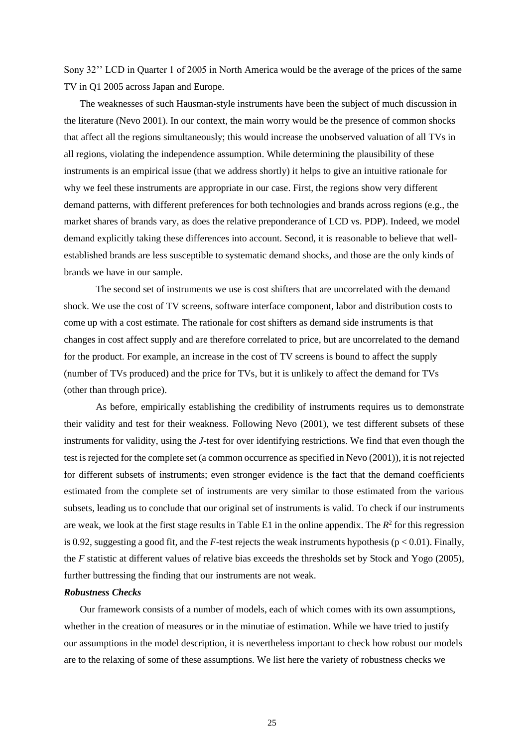Sony 32'' LCD in Quarter 1 of 2005 in North America would be the average of the prices of the same TV in Q1 2005 across Japan and Europe.

The weaknesses of such Hausman-style instruments have been the subject of much discussion in the literature (Nevo 2001). In our context, the main worry would be the presence of common shocks that affect all the regions simultaneously; this would increase the unobserved valuation of all TVs in all regions, violating the independence assumption. While determining the plausibility of these instruments is an empirical issue (that we address shortly) it helps to give an intuitive rationale for why we feel these instruments are appropriate in our case. First, the regions show very different demand patterns, with different preferences for both technologies and brands across regions (e.g., the market shares of brands vary, as does the relative preponderance of LCD vs. PDP). Indeed, we model demand explicitly taking these differences into account. Second, it is reasonable to believe that wellestablished brands are less susceptible to systematic demand shocks, and those are the only kinds of brands we have in our sample.

The second set of instruments we use is cost shifters that are uncorrelated with the demand shock. We use the cost of TV screens, software interface component, labor and distribution costs to come up with a cost estimate. The rationale for cost shifters as demand side instruments is that changes in cost affect supply and are therefore correlated to price, but are uncorrelated to the demand for the product. For example, an increase in the cost of TV screens is bound to affect the supply (number of TVs produced) and the price for TVs, but it is unlikely to affect the demand for TVs (other than through price).

As before, empirically establishing the credibility of instruments requires us to demonstrate their validity and test for their weakness. Following Nevo (2001), we test different subsets of these instruments for validity, using the *J*-test for over identifying restrictions. We find that even though the test is rejected for the complete set (a common occurrence as specified in Nevo (2001)), it is not rejected for different subsets of instruments; even stronger evidence is the fact that the demand coefficients estimated from the complete set of instruments are very similar to those estimated from the various subsets, leading us to conclude that our original set of instruments is valid. To check if our instruments are weak, we look at the first stage results in Table E1 in the online appendix. The  $R^2$  for this regression is 0.92, suggesting a good fit, and the *F*-test rejects the weak instruments hypothesis ( $p < 0.01$ ). Finally, the *F* statistic at different values of relative bias exceeds the thresholds set by Stock and Yogo (2005), further buttressing the finding that our instruments are not weak.

#### *Robustness Checks*

Our framework consists of a number of models, each of which comes with its own assumptions, whether in the creation of measures or in the minutiae of estimation. While we have tried to justify our assumptions in the model description, it is nevertheless important to check how robust our models are to the relaxing of some of these assumptions. We list here the variety of robustness checks we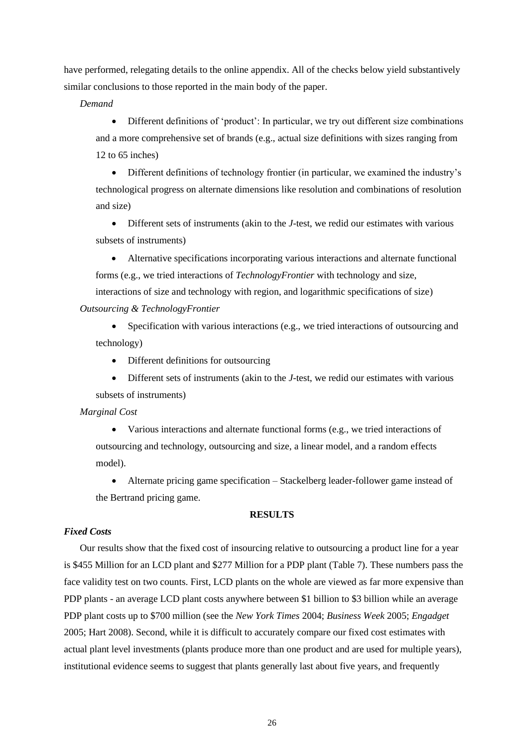have performed, relegating details to the online appendix. All of the checks below yield substantively similar conclusions to those reported in the main body of the paper.

*Demand*

• Different definitions of 'product': In particular, we try out different size combinations and a more comprehensive set of brands (e.g., actual size definitions with sizes ranging from 12 to 65 inches)

• Different definitions of technology frontier (in particular, we examined the industry's technological progress on alternate dimensions like resolution and combinations of resolution and size)

• Different sets of instruments (akin to the *J*-test, we redid our estimates with various subsets of instruments)

• Alternative specifications incorporating various interactions and alternate functional forms (e.g., we tried interactions of *TechnologyFrontier* with technology and size,

interactions of size and technology with region, and logarithmic specifications of size) *Outsourcing & TechnologyFrontier*

• Specification with various interactions (e.g., we tried interactions of outsourcing and technology)

• Different definitions for outsourcing

• Different sets of instruments (akin to the *J*-test, we redid our estimates with various subsets of instruments)

#### *Marginal Cost*

• Various interactions and alternate functional forms (e.g., we tried interactions of outsourcing and technology, outsourcing and size, a linear model, and a random effects model).

• Alternate pricing game specification – Stackelberg leader-follower game instead of the Bertrand pricing game.

#### **RESULTS**

### *Fixed Costs*

Our results show that the fixed cost of insourcing relative to outsourcing a product line for a year is \$455 Million for an LCD plant and \$277 Million for a PDP plant (Table 7). These numbers pass the face validity test on two counts. First, LCD plants on the whole are viewed as far more expensive than PDP plants - an average LCD plant costs anywhere between \$1 billion to \$3 billion while an average PDP plant costs up to \$700 million (see the *New York Times* 2004; *Business Week* 2005; *Engadget* 2005; Hart 2008). Second, while it is difficult to accurately compare our fixed cost estimates with actual plant level investments (plants produce more than one product and are used for multiple years), institutional evidence seems to suggest that plants generally last about five years, and frequently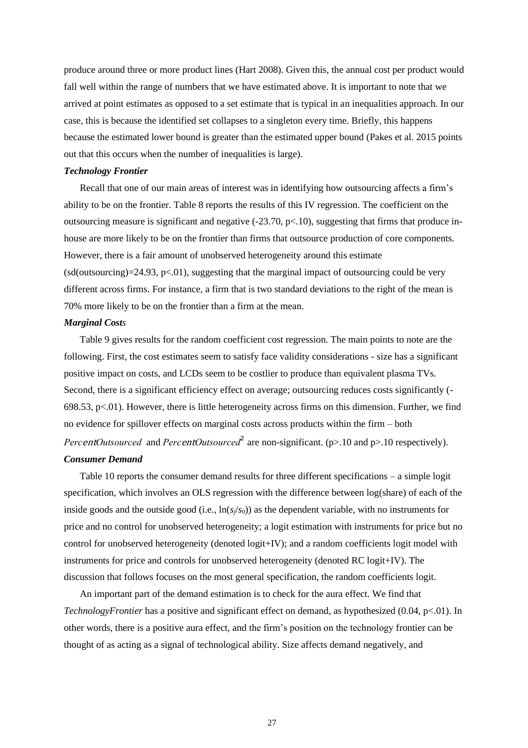produce around three or more product lines (Hart 2008). Given this, the annual cost per product would fall well within the range of numbers that we have estimated above. It is important to note that we arrived at point estimates as opposed to a set estimate that is typical in an inequalities approach. In our case, this is because the identified set collapses to a singleton every time. Briefly, this happens because the estimated lower bound is greater than the estimated upper bound (Pakes et al. 2015 points out that this occurs when the number of inequalities is large).

#### *Technology Frontier*

Recall that one of our main areas of interest was in identifying how outsourcing affects a firm's ability to be on the frontier. Table 8 reports the results of this IV regression. The coefficient on the outsourcing measure is significant and negative  $(-23.70, p<10)$ , suggesting that firms that produce inhouse are more likely to be on the frontier than firms that outsource production of core components. However, there is a fair amount of unobserved heterogeneity around this estimate  $(sd(outsourcing)=24.93, p<01)$ , suggesting that the marginal impact of outsourcing could be very different across firms. For instance, a firm that is two standard deviations to the right of the mean is 70% more likely to be on the frontier than a firm at the mean.

#### *Marginal Costs*

Table 9 gives results for the random coefficient cost regression. The main points to note are the following. First, the cost estimates seem to satisfy face validity considerations - size has a significant positive impact on costs, and LCDs seem to be costlier to produce than equivalent plasma TVs. Second, there is a significant efficiency effect on average; outsourcing reduces costs significantly (- 698.53, p<.01). However, there is little heterogeneity across firms on this dimension. Further, we find no evidence for spillover effects on marginal costs across products within the firm – both *PercentOutsourced* and *PercentOutsourced*<sup>2</sup> are non-significant. (p>.10 and p>.10 respectively). *Consumer Demand*

Table 10 reports the consumer demand results for three different specifications – a simple logit specification, which involves an OLS regression with the difference between log(share) of each of the inside goods and the outside good (i.e.,  $\ln(s/s_0)$ ) as the dependent variable, with no instruments for price and no control for unobserved heterogeneity; a logit estimation with instruments for price but no control for unobserved heterogeneity (denoted logit+IV); and a random coefficients logit model with instruments for price and controls for unobserved heterogeneity (denoted RC logit+IV). The discussion that follows focuses on the most general specification, the random coefficients logit.

An important part of the demand estimation is to check for the aura effect. We find that *TechnologyFrontier* has a positive and significant effect on demand, as hypothesized (0.04, p<.01). In other words, there is a positive aura effect, and the firm's position on the technology frontier can be thought of as acting as a signal of technological ability. Size affects demand negatively, and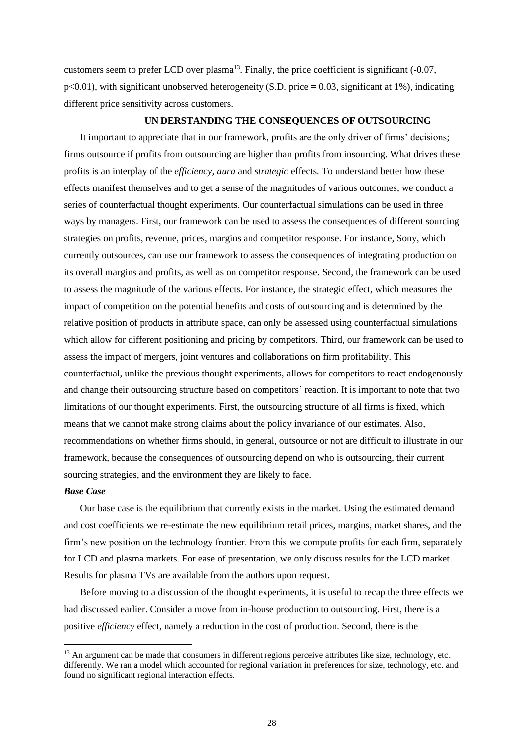customers seem to prefer LCD over plasma<sup>13</sup>. Finally, the price coefficient is significant  $(-0.07,$  $p<0.01$ ), with significant unobserved heterogeneity (S.D. price = 0.03, significant at 1%), indicating different price sensitivity across customers.

#### **UN DERSTANDING THE CONSEQUENCES OF OUTSOURCING**

It important to appreciate that in our framework, profits are the only driver of firms' decisions; firms outsource if profits from outsourcing are higher than profits from insourcing. What drives these profits is an interplay of the *efficiency, aura* and *strategic* effects*.* To understand better how these effects manifest themselves and to get a sense of the magnitudes of various outcomes, we conduct a series of counterfactual thought experiments. Our counterfactual simulations can be used in three ways by managers. First, our framework can be used to assess the consequences of different sourcing strategies on profits, revenue, prices, margins and competitor response. For instance, Sony, which currently outsources, can use our framework to assess the consequences of integrating production on its overall margins and profits, as well as on competitor response. Second, the framework can be used to assess the magnitude of the various effects. For instance, the strategic effect, which measures the impact of competition on the potential benefits and costs of outsourcing and is determined by the relative position of products in attribute space, can only be assessed using counterfactual simulations which allow for different positioning and pricing by competitors. Third, our framework can be used to assess the impact of mergers, joint ventures and collaborations on firm profitability. This counterfactual, unlike the previous thought experiments, allows for competitors to react endogenously and change their outsourcing structure based on competitors' reaction. It is important to note that two limitations of our thought experiments. First, the outsourcing structure of all firms is fixed, which means that we cannot make strong claims about the policy invariance of our estimates. Also, recommendations on whether firms should, in general, outsource or not are difficult to illustrate in our framework, because the consequences of outsourcing depend on who is outsourcing, their current sourcing strategies, and the environment they are likely to face.

#### *Base Case*

Our base case is the equilibrium that currently exists in the market. Using the estimated demand and cost coefficients we re-estimate the new equilibrium retail prices, margins, market shares, and the firm's new position on the technology frontier. From this we compute profits for each firm, separately for LCD and plasma markets. For ease of presentation, we only discuss results for the LCD market. Results for plasma TVs are available from the authors upon request.

Before moving to a discussion of the thought experiments, it is useful to recap the three effects we had discussed earlier. Consider a move from in-house production to outsourcing. First, there is a positive *efficiency* effect, namely a reduction in the cost of production. Second, there is the

<sup>&</sup>lt;sup>13</sup> An argument can be made that consumers in different regions perceive attributes like size, technology, etc. differently. We ran a model which accounted for regional variation in preferences for size, technology, etc. and found no significant regional interaction effects.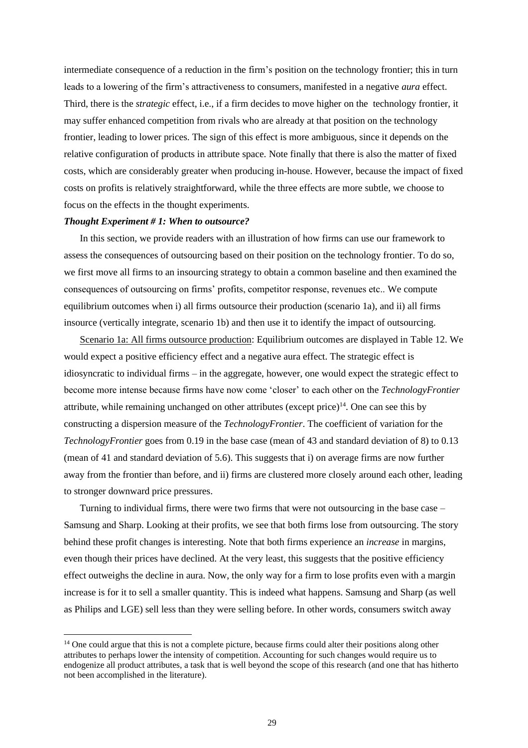intermediate consequence of a reduction in the firm's position on the technology frontier; this in turn leads to a lowering of the firm's attractiveness to consumers, manifested in a negative *aura* effect. Third, there is the *strategic* effect, i.e., if a firm decides to move higher on the technology frontier, it may suffer enhanced competition from rivals who are already at that position on the technology frontier, leading to lower prices. The sign of this effect is more ambiguous, since it depends on the relative configuration of products in attribute space. Note finally that there is also the matter of fixed costs, which are considerably greater when producing in-house. However, because the impact of fixed costs on profits is relatively straightforward, while the three effects are more subtle, we choose to focus on the effects in the thought experiments.

#### *Thought Experiment # 1: When to outsource?*

In this section, we provide readers with an illustration of how firms can use our framework to assess the consequences of outsourcing based on their position on the technology frontier. To do so, we first move all firms to an insourcing strategy to obtain a common baseline and then examined the consequences of outsourcing on firms' profits, competitor response, revenues etc.. We compute equilibrium outcomes when i) all firms outsource their production (scenario 1a), and ii) all firms insource (vertically integrate, scenario 1b) and then use it to identify the impact of outsourcing.

Scenario 1a: All firms outsource production: Equilibrium outcomes are displayed in Table 12. We would expect a positive efficiency effect and a negative aura effect. The strategic effect is idiosyncratic to individual firms – in the aggregate, however, one would expect the strategic effect to become more intense because firms have now come 'closer' to each other on the *TechnologyFrontier* attribute, while remaining unchanged on other attributes (except price)<sup>14</sup>. One can see this by constructing a dispersion measure of the *TechnologyFrontier*. The coefficient of variation for the *TechnologyFrontier* goes from 0.19 in the base case (mean of 43 and standard deviation of 8) to 0.13 (mean of 41 and standard deviation of 5.6). This suggests that i) on average firms are now further away from the frontier than before, and ii) firms are clustered more closely around each other, leading to stronger downward price pressures.

Turning to individual firms, there were two firms that were not outsourcing in the base case – Samsung and Sharp. Looking at their profits, we see that both firms lose from outsourcing. The story behind these profit changes is interesting. Note that both firms experience an *increase* in margins, even though their prices have declined. At the very least, this suggests that the positive efficiency effect outweighs the decline in aura. Now, the only way for a firm to lose profits even with a margin increase is for it to sell a smaller quantity. This is indeed what happens. Samsung and Sharp (as well as Philips and LGE) sell less than they were selling before. In other words, consumers switch away

<sup>&</sup>lt;sup>14</sup> One could argue that this is not a complete picture, because firms could alter their positions along other attributes to perhaps lower the intensity of competition. Accounting for such changes would require us to endogenize all product attributes, a task that is well beyond the scope of this research (and one that has hitherto not been accomplished in the literature).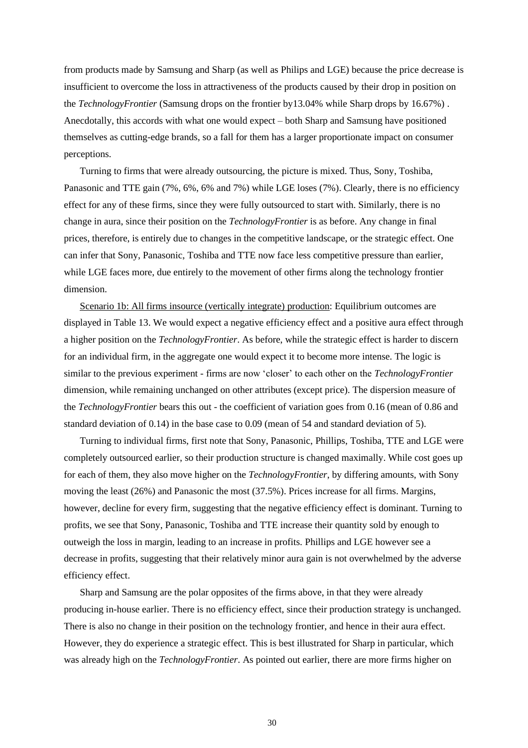from products made by Samsung and Sharp (as well as Philips and LGE) because the price decrease is insufficient to overcome the loss in attractiveness of the products caused by their drop in position on the *TechnologyFrontier* (Samsung drops on the frontier by13.04% while Sharp drops by 16.67%) . Anecdotally, this accords with what one would expect – both Sharp and Samsung have positioned themselves as cutting-edge brands, so a fall for them has a larger proportionate impact on consumer perceptions.

Turning to firms that were already outsourcing, the picture is mixed. Thus, Sony, Toshiba, Panasonic and TTE gain (7%, 6%, 6% and 7%) while LGE loses (7%). Clearly, there is no efficiency effect for any of these firms, since they were fully outsourced to start with. Similarly, there is no change in aura, since their position on the *TechnologyFrontier* is as before. Any change in final prices, therefore, is entirely due to changes in the competitive landscape, or the strategic effect. One can infer that Sony, Panasonic, Toshiba and TTE now face less competitive pressure than earlier, while LGE faces more, due entirely to the movement of other firms along the technology frontier dimension.

Scenario 1b: All firms insource (vertically integrate) production: Equilibrium outcomes are displayed in Table 13. We would expect a negative efficiency effect and a positive aura effect through a higher position on the *TechnologyFrontier*. As before, while the strategic effect is harder to discern for an individual firm, in the aggregate one would expect it to become more intense. The logic is similar to the previous experiment - firms are now 'closer' to each other on the *TechnologyFrontier* dimension, while remaining unchanged on other attributes (except price). The dispersion measure of the *TechnologyFrontier* bears this out - the coefficient of variation goes from 0.16 (mean of 0.86 and standard deviation of 0.14) in the base case to 0.09 (mean of 54 and standard deviation of 5).

Turning to individual firms, first note that Sony, Panasonic, Phillips, Toshiba, TTE and LGE were completely outsourced earlier, so their production structure is changed maximally. While cost goes up for each of them, they also move higher on the *TechnologyFrontier*, by differing amounts, with Sony moving the least (26%) and Panasonic the most (37.5%). Prices increase for all firms. Margins, however, decline for every firm, suggesting that the negative efficiency effect is dominant. Turning to profits, we see that Sony, Panasonic, Toshiba and TTE increase their quantity sold by enough to outweigh the loss in margin, leading to an increase in profits. Phillips and LGE however see a decrease in profits, suggesting that their relatively minor aura gain is not overwhelmed by the adverse efficiency effect.

Sharp and Samsung are the polar opposites of the firms above, in that they were already producing in-house earlier. There is no efficiency effect, since their production strategy is unchanged. There is also no change in their position on the technology frontier, and hence in their aura effect. However, they do experience a strategic effect. This is best illustrated for Sharp in particular, which was already high on the *TechnologyFrontier*. As pointed out earlier, there are more firms higher on

30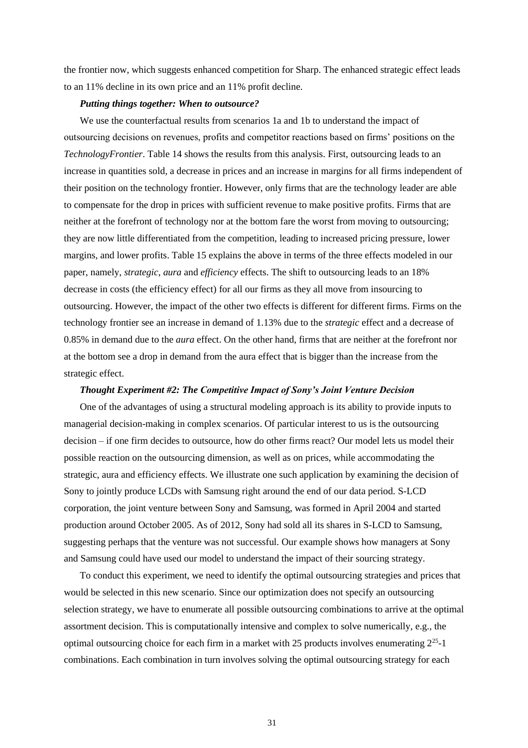the frontier now, which suggests enhanced competition for Sharp. The enhanced strategic effect leads to an 11% decline in its own price and an 11% profit decline.

#### *Putting things together: When to outsource?*

We use the counterfactual results from scenarios 1a and 1b to understand the impact of outsourcing decisions on revenues, profits and competitor reactions based on firms' positions on the *TechnologyFrontier*. Table 14 shows the results from this analysis. First, outsourcing leads to an increase in quantities sold, a decrease in prices and an increase in margins for all firms independent of their position on the technology frontier. However, only firms that are the technology leader are able to compensate for the drop in prices with sufficient revenue to make positive profits. Firms that are neither at the forefront of technology nor at the bottom fare the worst from moving to outsourcing; they are now little differentiated from the competition, leading to increased pricing pressure, lower margins, and lower profits. Table 15 explains the above in terms of the three effects modeled in our paper, namely, *strategic*, *aura* and *efficiency* effects. The shift to outsourcing leads to an 18% decrease in costs (the efficiency effect) for all our firms as they all move from insourcing to outsourcing. However, the impact of the other two effects is different for different firms. Firms on the technology frontier see an increase in demand of 1.13% due to the *strategic* effect and a decrease of 0.85% in demand due to the *aura* effect. On the other hand, firms that are neither at the forefront nor at the bottom see a drop in demand from the aura effect that is bigger than the increase from the strategic effect.

#### *Thought Experiment #2: The Competitive Impact of Sony's Joint Venture Decision*

One of the advantages of using a structural modeling approach is its ability to provide inputs to managerial decision-making in complex scenarios. Of particular interest to us is the outsourcing decision – if one firm decides to outsource, how do other firms react? Our model lets us model their possible reaction on the outsourcing dimension, as well as on prices, while accommodating the strategic, aura and efficiency effects. We illustrate one such application by examining the decision of Sony to jointly produce LCDs with Samsung right around the end of our data period. S-LCD corporation, the joint venture between Sony and Samsung, was formed in April 2004 and started production around October 2005. As of 2012, Sony had sold all its shares in S-LCD to Samsung, suggesting perhaps that the venture was not successful. Our example shows how managers at Sony and Samsung could have used our model to understand the impact of their sourcing strategy.

To conduct this experiment, we need to identify the optimal outsourcing strategies and prices that would be selected in this new scenario. Since our optimization does not specify an outsourcing selection strategy, we have to enumerate all possible outsourcing combinations to arrive at the optimal assortment decision. This is computationally intensive and complex to solve numerically, e.g., the optimal outsourcing choice for each firm in a market with 25 products involves enumerating  $2^{25}$ -1 combinations. Each combination in turn involves solving the optimal outsourcing strategy for each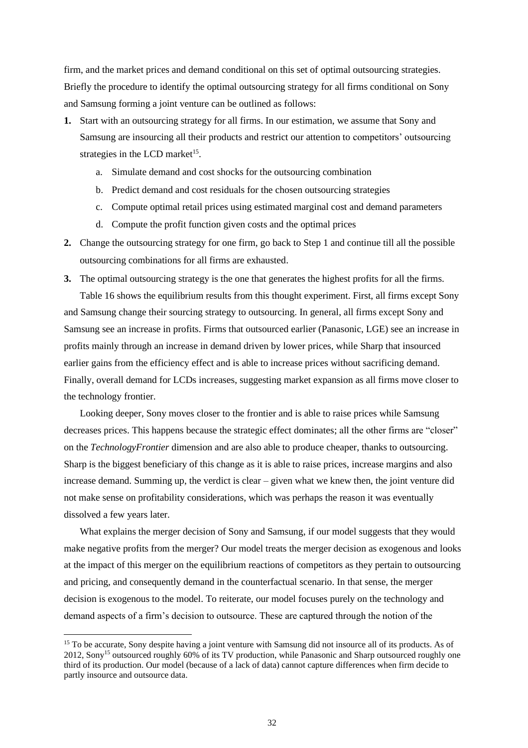firm, and the market prices and demand conditional on this set of optimal outsourcing strategies. Briefly the procedure to identify the optimal outsourcing strategy for all firms conditional on Sony and Samsung forming a joint venture can be outlined as follows:

- **1.** Start with an outsourcing strategy for all firms. In our estimation, we assume that Sony and Samsung are insourcing all their products and restrict our attention to competitors' outsourcing strategies in the LCD market<sup>15</sup>.
	- a. Simulate demand and cost shocks for the outsourcing combination
	- b. Predict demand and cost residuals for the chosen outsourcing strategies
	- c. Compute optimal retail prices using estimated marginal cost and demand parameters
	- d. Compute the profit function given costs and the optimal prices
- **2.** Change the outsourcing strategy for one firm, go back to Step 1 and continue till all the possible outsourcing combinations for all firms are exhausted.
- **3.** The optimal outsourcing strategy is the one that generates the highest profits for all the firms. Table 16 shows the equilibrium results from this thought experiment. First, all firms except Sony and Samsung change their sourcing strategy to outsourcing. In general, all firms except Sony and Samsung see an increase in profits. Firms that outsourced earlier (Panasonic, LGE) see an increase in profits mainly through an increase in demand driven by lower prices, while Sharp that insourced earlier gains from the efficiency effect and is able to increase prices without sacrificing demand. Finally, overall demand for LCDs increases, suggesting market expansion as all firms move closer to the technology frontier.

Looking deeper, Sony moves closer to the frontier and is able to raise prices while Samsung decreases prices. This happens because the strategic effect dominates; all the other firms are "closer" on the *TechnologyFrontier* dimension and are also able to produce cheaper, thanks to outsourcing. Sharp is the biggest beneficiary of this change as it is able to raise prices, increase margins and also increase demand. Summing up, the verdict is clear – given what we knew then, the joint venture did not make sense on profitability considerations, which was perhaps the reason it was eventually dissolved a few years later.

What explains the merger decision of Sony and Samsung, if our model suggests that they would make negative profits from the merger? Our model treats the merger decision as exogenous and looks at the impact of this merger on the equilibrium reactions of competitors as they pertain to outsourcing and pricing, and consequently demand in the counterfactual scenario. In that sense, the merger decision is exogenous to the model. To reiterate, our model focuses purely on the technology and demand aspects of a firm's decision to outsource. These are captured through the notion of the

<sup>&</sup>lt;sup>15</sup> To be accurate, Sony despite having a joint venture with Samsung did not insource all of its products. As of 2012, Sony<sup>15</sup> outsourced roughly 60% of its TV production, while Panasonic and Sharp outsourced roughly one third of its production. Our model (because of a lack of data) cannot capture differences when firm decide to partly insource and outsource data.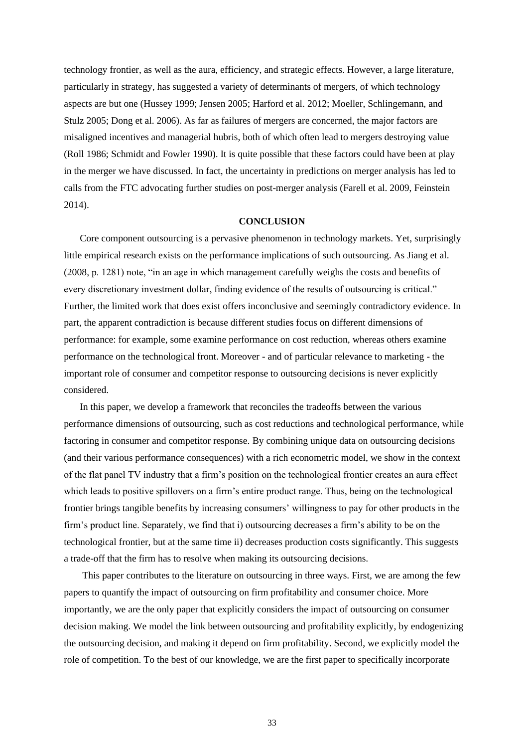technology frontier, as well as the aura, efficiency, and strategic effects. However, a large literature, particularly in strategy, has suggested a variety of determinants of mergers, of which technology aspects are but one (Hussey 1999; Jensen 2005; Harford et al. 2012; Moeller, Schlingemann, and Stulz 2005; Dong et al. 2006). As far as failures of mergers are concerned, the major factors are misaligned incentives and managerial hubris, both of which often lead to mergers destroying value (Roll 1986; Schmidt and Fowler 1990). It is quite possible that these factors could have been at play in the merger we have discussed. In fact, the uncertainty in predictions on merger analysis has led to calls from the FTC advocating further studies on post-merger analysis (Farell et al. 2009, Feinstein 2014).

#### **CONCLUSION**

Core component outsourcing is a pervasive phenomenon in technology markets. Yet, surprisingly little empirical research exists on the performance implications of such outsourcing. As Jiang et al. (2008, p. 1281) note, "in an age in which management carefully weighs the costs and benefits of every discretionary investment dollar, finding evidence of the results of outsourcing is critical." Further, the limited work that does exist offers inconclusive and seemingly contradictory evidence. In part, the apparent contradiction is because different studies focus on different dimensions of performance: for example, some examine performance on cost reduction, whereas others examine performance on the technological front. Moreover - and of particular relevance to marketing - the important role of consumer and competitor response to outsourcing decisions is never explicitly considered.

In this paper, we develop a framework that reconciles the tradeoffs between the various performance dimensions of outsourcing, such as cost reductions and technological performance, while factoring in consumer and competitor response. By combining unique data on outsourcing decisions (and their various performance consequences) with a rich econometric model, we show in the context of the flat panel TV industry that a firm's position on the technological frontier creates an aura effect which leads to positive spillovers on a firm's entire product range. Thus, being on the technological frontier brings tangible benefits by increasing consumers' willingness to pay for other products in the firm's product line. Separately, we find that i) outsourcing decreases a firm's ability to be on the technological frontier, but at the same time ii) decreases production costs significantly. This suggests a trade-off that the firm has to resolve when making its outsourcing decisions.

This paper contributes to the literature on outsourcing in three ways. First, we are among the few papers to quantify the impact of outsourcing on firm profitability and consumer choice. More importantly, we are the only paper that explicitly considers the impact of outsourcing on consumer decision making. We model the link between outsourcing and profitability explicitly, by endogenizing the outsourcing decision, and making it depend on firm profitability. Second, we explicitly model the role of competition. To the best of our knowledge, we are the first paper to specifically incorporate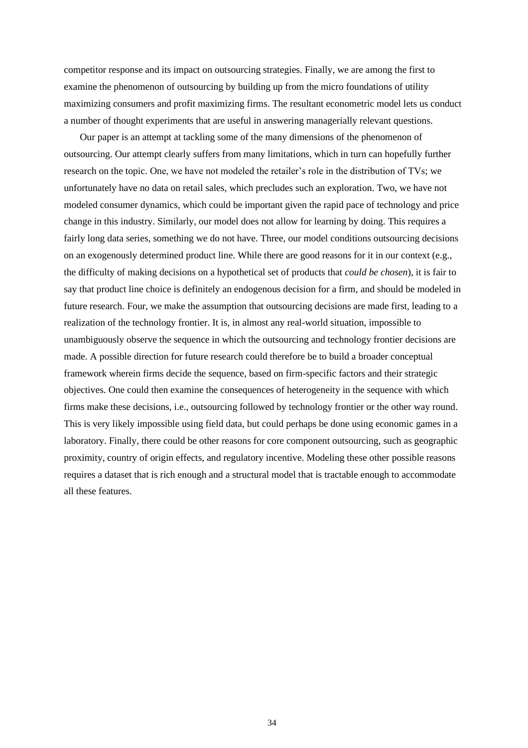competitor response and its impact on outsourcing strategies. Finally, we are among the first to examine the phenomenon of outsourcing by building up from the micro foundations of utility maximizing consumers and profit maximizing firms. The resultant econometric model lets us conduct a number of thought experiments that are useful in answering managerially relevant questions.

Our paper is an attempt at tackling some of the many dimensions of the phenomenon of outsourcing. Our attempt clearly suffers from many limitations, which in turn can hopefully further research on the topic. One, we have not modeled the retailer's role in the distribution of TVs; we unfortunately have no data on retail sales, which precludes such an exploration. Two, we have not modeled consumer dynamics, which could be important given the rapid pace of technology and price change in this industry. Similarly, our model does not allow for learning by doing. This requires a fairly long data series, something we do not have. Three, our model conditions outsourcing decisions on an exogenously determined product line. While there are good reasons for it in our context (e.g., the difficulty of making decisions on a hypothetical set of products that *could be chosen*), it is fair to say that product line choice is definitely an endogenous decision for a firm, and should be modeled in future research. Four, we make the assumption that outsourcing decisions are made first, leading to a realization of the technology frontier. It is, in almost any real-world situation, impossible to unambiguously observe the sequence in which the outsourcing and technology frontier decisions are made. A possible direction for future research could therefore be to build a broader conceptual framework wherein firms decide the sequence, based on firm-specific factors and their strategic objectives. One could then examine the consequences of heterogeneity in the sequence with which firms make these decisions, i.e., outsourcing followed by technology frontier or the other way round. This is very likely impossible using field data, but could perhaps be done using economic games in a laboratory. Finally, there could be other reasons for core component outsourcing, such as geographic proximity, country of origin effects, and regulatory incentive. Modeling these other possible reasons requires a dataset that is rich enough and a structural model that is tractable enough to accommodate all these features.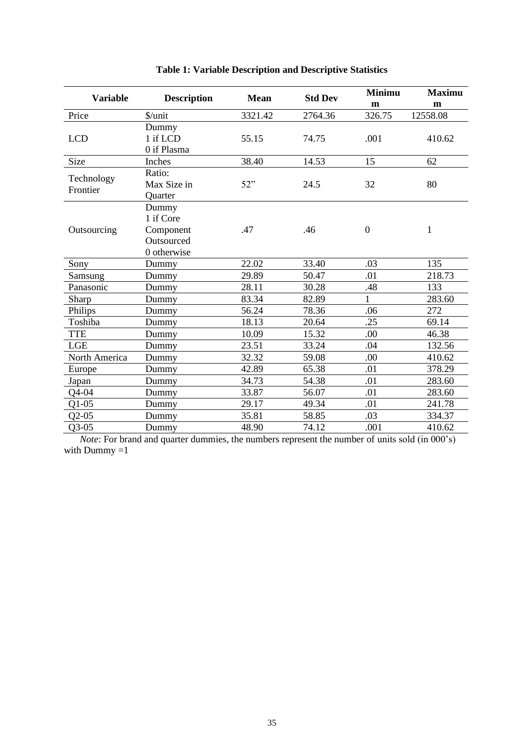| <b>Variable</b> | <b>Description</b> | <b>Mean</b> | <b>Std Dev</b> | <b>Minimu</b>    | <b>Maximu</b> |
|-----------------|--------------------|-------------|----------------|------------------|---------------|
|                 |                    |             |                | m                | m             |
| Price           | \$/unit            | 3321.42     | 2764.36        | 326.75           | 12558.08      |
|                 | Dummy              |             |                |                  |               |
| <b>LCD</b>      | 1 if LCD           | 55.15       | 74.75          | .001             | 410.62        |
|                 | 0 if Plasma        |             |                |                  |               |
| <b>Size</b>     | Inches             | 38.40       | 14.53          | 15               | 62            |
| Technology      | Ratio:             |             |                |                  |               |
| Frontier        | Max Size in        | 52"         | 24.5           | 32               | 80            |
|                 | Quarter            |             |                |                  |               |
|                 | Dummy              |             |                |                  |               |
|                 | 1 if Core          |             |                |                  |               |
| Outsourcing     | Component          | .47         | .46            | $\boldsymbol{0}$ | $\mathbf{1}$  |
|                 | Outsourced         |             |                |                  |               |
|                 | 0 otherwise        |             |                |                  |               |
| Sony            | Dummy              | 22.02       | 33.40          | .03              | 135           |
| Samsung         | Dummy              | 29.89       | 50.47          | .01              | 218.73        |
| Panasonic       | Dummy              | 28.11       | 30.28          | .48              | 133           |
| Sharp           | Dummy              | 83.34       | 82.89          | $\mathbf{1}$     | 283.60        |
| Philips         | Dummy              | 56.24       | 78.36          | .06              | 272           |
| Toshiba         | Dummy              | 18.13       | 20.64          | .25              | 69.14         |
| <b>TTE</b>      | Dummy              | 10.09       | 15.32          | .00              | 46.38         |
| <b>LGE</b>      | Dummy              | 23.51       | 33.24          | .04              | 132.56        |
| North America   | Dummy              | 32.32       | 59.08          | .00              | 410.62        |
| Europe          | Dummy              | 42.89       | 65.38          | .01              | 378.29        |
| Japan           | Dummy              | 34.73       | 54.38          | .01              | 283.60        |
| $Q$ 4-04        | Dummy              | 33.87       | 56.07          | .01              | 283.60        |
| $Q1-05$         | Dummy              | 29.17       | 49.34          | .01              | 241.78        |
| $Q2-05$         | Dummy              | 35.81       | 58.85          | .03              | 334.37        |
| $Q3-05$         | Dummy              | 48.90       | 74.12          | .001             | 410.62        |

|  |  |  | <b>Table 1: Variable Description and Descriptive Statistics</b> |  |
|--|--|--|-----------------------------------------------------------------|--|
|--|--|--|-----------------------------------------------------------------|--|

*Note*: For brand and quarter dummies, the numbers represent the number of units sold (in 000's) with Dummy =1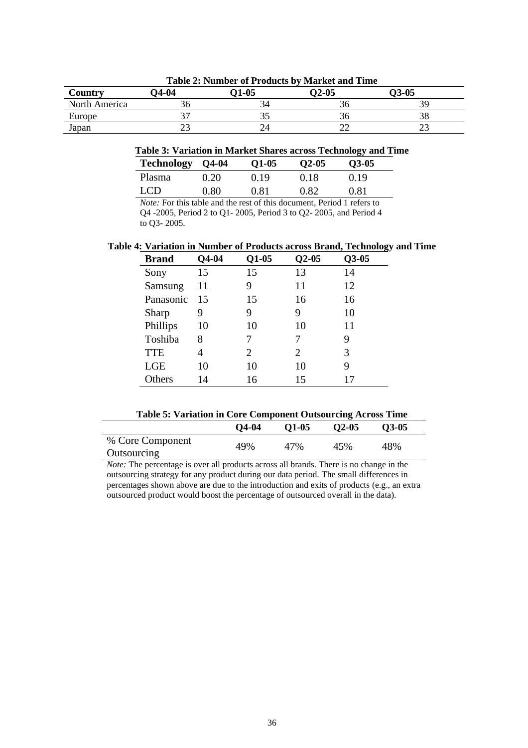| Country                                     | $74-04$ | 01-05 | $O2-05$ | O3-05 |
|---------------------------------------------|---------|-------|---------|-------|
| North America                               |         |       | эτ      | 39    |
| Europe<br>and the control of the control of |         |       | эс      | υc    |
| Japan                                       | ت       |       | ∸       | ت     |

#### **Table 2: Number of Products by Market and Time**

### **Table 3: Variation in Market Shares across Technology and Time**

| Technology    | <b>Q4-04</b> | $Q1-05$ | $O2-05$ | $O3-05$ |
|---------------|--------------|---------|---------|---------|
| <b>Plasma</b> | 0.20         | 0.19    | 0.18    | 0.19    |
| LCD.          | 0.80         | 0.81    | 0.82    | 0.81    |

*Note:* For this table and the rest of this document, Period 1 refers to Q4 -2005, Period 2 to Q1- 2005, Period 3 to Q2- 2005, and Period 4 to Q3- 2005.

#### **Table 4: Variation in Number of Products across Brand, Technology and Time**

| <b>Brand</b> | Q4-04 | $Q1-05$ | $Q2-05$               | $Q3-05$ |
|--------------|-------|---------|-----------------------|---------|
| Sony         | 15    | 15      | 13                    | 14      |
| Samsung      | 11    | 9       | 11                    | 12      |
| Panasonic    | 15    | 15      | 16                    | 16      |
| Sharp        | 9     | 9       | 9                     | 10      |
| Phillips     | 10    | 10      | 10                    | 11      |
| Toshiba      | 8     |         |                       | 9       |
| <b>TTE</b>   | 4     | 2       | $\mathcal{D}_{\cdot}$ | 3       |
| <b>LGE</b>   | 10    | 10      | 10                    | 9       |
| Others       | 14    | 16      | 15                    | 17      |

# **Table 5: Variation in Core Component Outsourcing Across Time**

|                                 | $Q$ 4-04 | O <sub>1</sub> -05 | $O2-05$ | $O3-05$ |  |
|---------------------------------|----------|--------------------|---------|---------|--|
| % Core Component<br>Outsourcing | 49%      | 47%                | 45%     | 48%     |  |

*Note:* The percentage is over all products across all brands. There is no change in the outsourcing strategy for any product during our data period. The small differences in percentages shown above are due to the introduction and exits of products (e.g., an extra outsourced product would boost the percentage of outsourced overall in the data).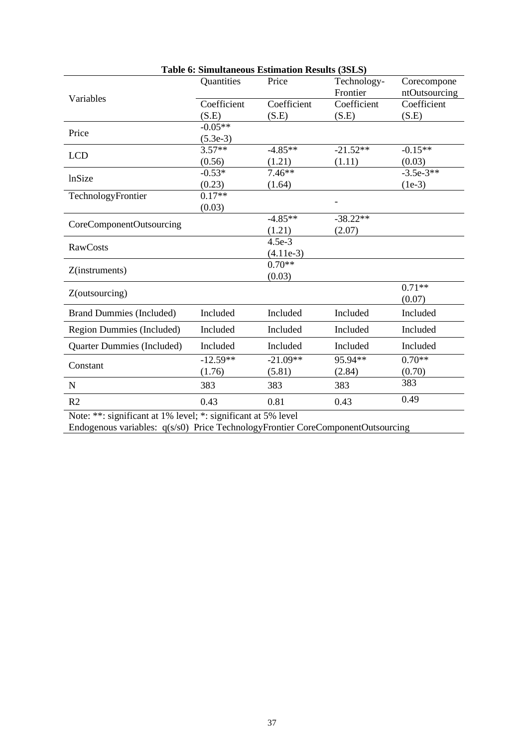| Table 6: Simultaneous Estimation Results (3SLS) |             |             |                         |                              |
|-------------------------------------------------|-------------|-------------|-------------------------|------------------------------|
|                                                 | Quantities  | Price       | Technology-<br>Frontier | Corecompone<br>ntOutsourcing |
| Variables                                       | Coefficient | Coefficient | Coefficient             | Coefficient                  |
|                                                 | (S.E)       | (S.E)       | (S.E)                   | (S.E)                        |
|                                                 | $-0.05**$   |             |                         |                              |
| Price                                           | $(5.3e-3)$  |             |                         |                              |
|                                                 | $3.57**$    | $-4.85**$   | $-21.52**$              | $-0.15**$                    |
| <b>LCD</b>                                      | (0.56)      | (1.21)      | (1.11)                  | (0.03)                       |
| lnSize                                          | $-0.53*$    | $7.46**$    |                         | $-3.5e-3**$                  |
|                                                 | (0.23)      | (1.64)      |                         | $(1e-3)$                     |
| TechnologyFrontier                              | $0.17**$    |             |                         |                              |
|                                                 | (0.03)      |             |                         |                              |
| CoreComponentOutsourcing                        |             | $-4.85**$   | $-38.22**$              |                              |
|                                                 |             | (1.21)      | (2.07)                  |                              |
| <b>RawCosts</b>                                 |             | $4.5e-3$    |                         |                              |
|                                                 |             | $(4.11e-3)$ |                         |                              |
| Z(instruments)                                  |             | $0.70**$    |                         |                              |
|                                                 |             | (0.03)      |                         |                              |
| Z(outsourcing)                                  |             |             |                         | $0.71**$                     |
|                                                 |             |             |                         | (0.07)                       |
| <b>Brand Dummies (Included)</b>                 | Included    | Included    | Included                | Included                     |
| Region Dummies (Included)                       | Included    | Included    | Included                | Included                     |
| <b>Quarter Dummies (Included)</b>               | Included    | Included    | Included                | Included                     |
|                                                 | $-12.59**$  | $-21.09**$  | 95.94**                 | $0.70**$                     |
| Constant                                        | (1.76)      | (5.81)      | (2.84)                  | (0.70)                       |
| N                                               | 383         | 383         | 383                     | 383                          |
| R <sub>2</sub>                                  | 0.43        | 0.81        | 0.43                    | 0.49                         |
|                                                 |             |             |                         |                              |

Note: \*\*: significant at 1% level; \*: significant at 5% level

Endogenous variables: q(s/s0) Price TechnologyFrontier CoreComponentOutsourcing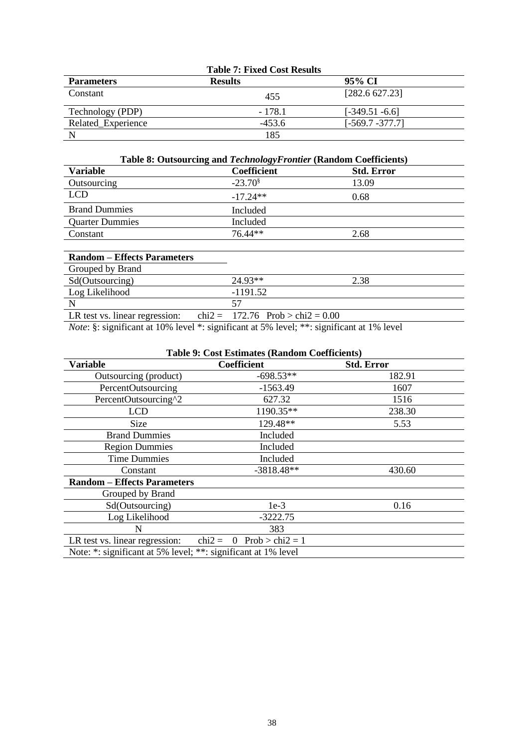|                    | <b>Table 7: Fixed Cost Results</b> |                    |  |
|--------------------|------------------------------------|--------------------|--|
| <b>Parameters</b>  | <b>Results</b>                     | 95% CI             |  |
| Constant           | 455                                | [282.6 627.23]     |  |
| Technology (PDP)   | $-178.1$                           | $[-349.51 - 6.6]$  |  |
| Related Experience | $-453.6$                           | $[-569.7 - 377.7]$ |  |
|                    | 185                                |                    |  |

|  |  | Table 8: Outsourcing and Technology Frontier (Random Coefficients) |  |  |  |
|--|--|--------------------------------------------------------------------|--|--|--|
|--|--|--------------------------------------------------------------------|--|--|--|

| Variable               | Coefficient      | <b>Std. Error</b> |
|------------------------|------------------|-------------------|
| Outsourcing            | $-23.70^{\circ}$ | 13.09             |
| LCD                    | $-17.24**$       | 0.68              |
| <b>Brand Dummies</b>   | Included         |                   |
| <b>Quarter Dummies</b> | Included         |                   |
| Constant               | 76.44**          | 2.68              |

| <b>Random – Effects Parameters</b> |                                    |      |
|------------------------------------|------------------------------------|------|
| Grouped by Brand                   |                                    |      |
| Sd(Outsourcing)                    | 24.93**                            | 2.38 |
| Log Likelihood                     | $-1191.52$                         |      |
|                                    | 57                                 |      |
| LR test vs. linear regression:     | chi2 = 172.76 Prob > chi2 = $0.00$ |      |

*Note*: §: significant at 10% level \*: significant at 5% level; \*\*: significant at 1% level

| <b>Table 9: Cost Estimates (Random Coefficients)</b> |                                           |                   |  |  |
|------------------------------------------------------|-------------------------------------------|-------------------|--|--|
| <b>Variable</b>                                      | <b>Coefficient</b>                        | <b>Std. Error</b> |  |  |
| Outsourcing (product)                                | $-698.53**$                               | 182.91            |  |  |
| PercentOutsourcing                                   | $-1563.49$                                | 1607              |  |  |
| PercentOutsourcing^2                                 | 627.32                                    | 1516              |  |  |
| <b>LCD</b>                                           | 1190.35**                                 | 238.30            |  |  |
| Size                                                 | 129.48**                                  | 5.53              |  |  |
| <b>Brand Dummies</b>                                 | Included                                  |                   |  |  |
| <b>Region Dummies</b>                                | Included                                  |                   |  |  |
| <b>Time Dummies</b>                                  | Included                                  |                   |  |  |
| Constant                                             | $-3818.48**$                              | 430.60            |  |  |
| <b>Random - Effects Parameters</b>                   |                                           |                   |  |  |
| Grouped by Brand                                     |                                           |                   |  |  |
| Sd(Outsourcing)                                      | $1e-3$                                    | 0.16              |  |  |
| Log Likelihood                                       | $-3222.75$                                |                   |  |  |
| N                                                    | 383                                       |                   |  |  |
| LR test vs. linear regression:                       | $Prob > chi2 = 1$<br>$chi2 =$<br>$\Omega$ |                   |  |  |

Note: \*: significant at 5% level; \*\*: significant at 1% level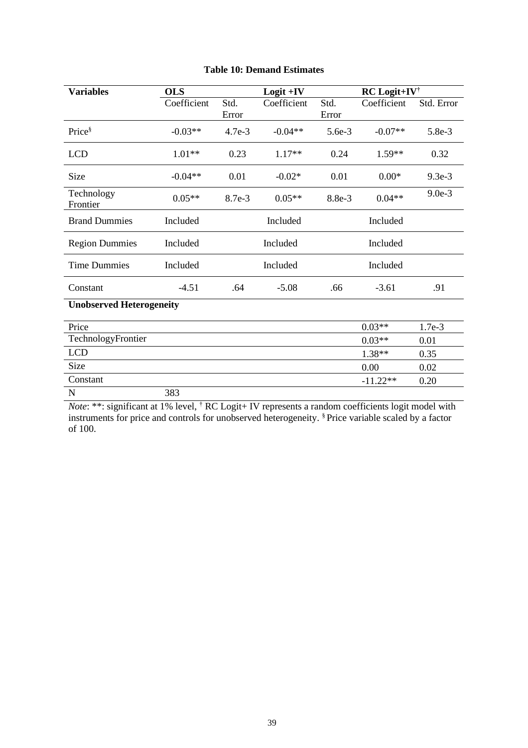| <b>Variables</b>                | <b>OLS</b>  |               | $Logit + IV$ |               | <b>RC</b> Logit+IV <sup>†</sup> |            |
|---------------------------------|-------------|---------------|--------------|---------------|---------------------------------|------------|
|                                 | Coefficient | Std.<br>Error | Coefficient  | Std.<br>Error | Coefficient                     | Std. Error |
| Price <sup>§</sup>              | $-0.03**$   | 4.7e-3        | $-0.04**$    | $5.6e-3$      | $-0.07**$                       | 5.8e-3     |
| <b>LCD</b>                      | $1.01**$    | 0.23          | $1.17**$     | 0.24          | $1.59**$                        | 0.32       |
| Size                            | $-0.04**$   | 0.01          | $-0.02*$     | 0.01          | $0.00*$                         | $9.3e-3$   |
| Technology<br>Frontier          | $0.05**$    | 8.7e-3        | $0.05**$     | 8.8e-3        | $0.04**$                        | $9.0e-3$   |
| <b>Brand Dummies</b>            | Included    |               | Included     |               | Included                        |            |
| <b>Region Dummies</b>           | Included    |               | Included     |               | Included                        |            |
| <b>Time Dummies</b>             | Included    |               | Included     |               | Included                        |            |
| Constant                        | $-4.51$     | .64           | $-5.08$      | .66           | $-3.61$                         | .91        |
| <b>Unobserved Heterogeneity</b> |             |               |              |               |                                 |            |
| Price                           |             |               |              |               | $0.03**$                        | 1.7e-3     |
| TechnologyFrontier              |             |               |              |               | $0.03**$                        | 0.01       |
| <b>LCD</b>                      |             |               |              |               | 1.38**                          | 0.35       |
| Size                            |             |               |              |               | 0.00                            | 0.02       |
| Constant                        |             |               |              |               | $-11.22**$                      | 0.20       |
| N                               | 383         |               |              |               |                                 |            |

### **Table 10: Demand Estimates**

*Note*: \*\*: significant at 1% level, † RC Logit+ IV represents a random coefficients logit model with instruments for price and controls for unobserved heterogeneity. § Price variable scaled by a factor of 100.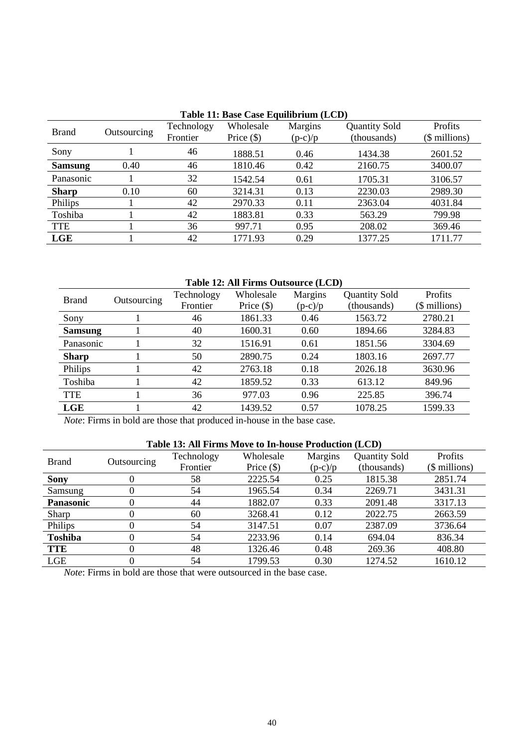|                |             |            | Table 11: Base Case Equilibrium (LCD) |           |                      |               |
|----------------|-------------|------------|---------------------------------------|-----------|----------------------|---------------|
| <b>Brand</b>   | Outsourcing | Technology | Wholesale                             | Margins   | <b>Quantity Sold</b> | Profits       |
|                |             | Frontier   | Price $(\$)$                          | $(p-c)/p$ | (thousands)          | (\$ millions) |
| Sony           |             | 46         | 1888.51                               | 0.46      | 1434.38              | 2601.52       |
| <b>Samsung</b> | 0.40        | 46         | 1810.46                               | 0.42      | 2160.75              | 3400.07       |
| Panasonic      |             | 32         | 1542.54                               | 0.61      | 1705.31              | 3106.57       |
| <b>Sharp</b>   | 0.10        | 60         | 3214.31                               | 0.13      | 2230.03              | 2989.30       |
| Philips        |             | 42         | 2970.33                               | 0.11      | 2363.04              | 4031.84       |
| Toshiba        |             | 42         | 1883.81                               | 0.33      | 563.29               | 799.98        |
| <b>TTE</b>     |             | 36         | 997.71                                | 0.95      | 208.02               | 369.46        |
| LGE            |             | 42         | 1771.93                               | 0.29      | 1377.25              | 1711.77       |

# **Table 11: Base Case Equilibrium (LCD)**

### **Table 12: All Firms Outsource (LCD)**

| <b>Brand</b>   | Outsourcing | Technology | Wholesale    | <b>Margins</b> | <b>Quantity Sold</b> | <b>Profits</b> |
|----------------|-------------|------------|--------------|----------------|----------------------|----------------|
|                |             | Frontier   | Price $(\$)$ | $(p-c)/p$      | (thousands)          | (\$ millions)  |
| Sony           |             | 46         | 1861.33      | 0.46           | 1563.72              | 2780.21        |
| <b>Samsung</b> |             | 40         | 1600.31      | 0.60           | 1894.66              | 3284.83        |
| Panasonic      |             | 32         | 1516.91      | 0.61           | 1851.56              | 3304.69        |
| <b>Sharp</b>   |             | 50         | 2890.75      | 0.24           | 1803.16              | 2697.77        |
| Philips        |             | 42         | 2763.18      | 0.18           | 2026.18              | 3630.96        |
| Toshiba        |             | 42         | 1859.52      | 0.33           | 613.12               | 849.96         |
| <b>TTE</b>     |             | 36         | 977.03       | 0.96           | 225.85               | 396.74         |
| LGE            |             | 42         | 1439.52      | 0.57           | 1078.25              | 1599.33        |
|                |             |            |              |                |                      |                |

*Note*: Firms in bold are those that produced in-house in the base case.

### **Table 13: All Firms Move to In-house Production (LCD)**

| <b>Brand</b>     | Outsourcing | Technology | Wholesale    | <b>Margins</b> | <b>Quantity Sold</b> | Profits       |
|------------------|-------------|------------|--------------|----------------|----------------------|---------------|
|                  |             | Frontier   | Price $(\$)$ | $(p-c)/p$      | (thousands)          | (\$ millions) |
| <b>Sony</b>      |             | 58         | 2225.54      | 0.25           | 1815.38              | 2851.74       |
| Samsung          |             | 54         | 1965.54      | 0.34           | 2269.71              | 3431.31       |
| <b>Panasonic</b> |             | 44         | 1882.07      | 0.33           | 2091.48              | 3317.13       |
| Sharp            |             | 60         | 3268.41      | 0.12           | 2022.75              | 2663.59       |
| Philips          |             | 54         | 3147.51      | 0.07           | 2387.09              | 3736.64       |
| <b>Toshiba</b>   |             | 54         | 2233.96      | 0.14           | 694.04               | 836.34        |
| <b>TTE</b>       |             | 48         | 1326.46      | 0.48           | 269.36               | 408.80        |
| LGE              |             | 54         | 1799.53      | 0.30           | 1274.52              | 1610.12       |

*Note*: Firms in bold are those that were outsourced in the base case.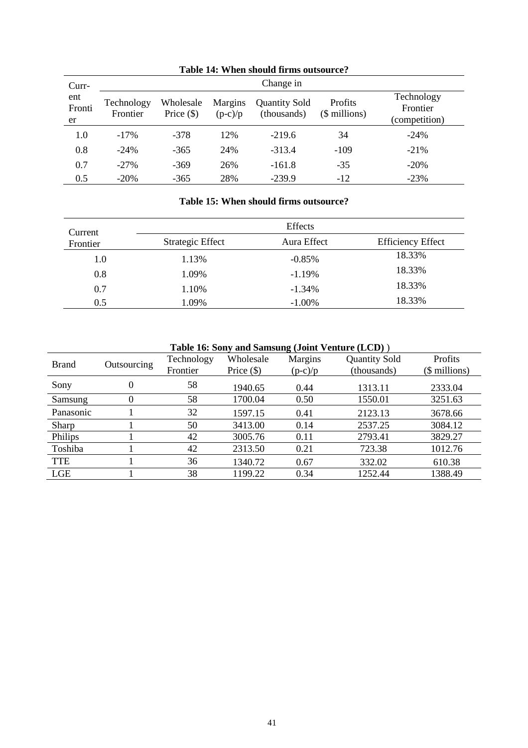| Curr-               |                        |                           |                      | Change in                           |                          |                                         |
|---------------------|------------------------|---------------------------|----------------------|-------------------------------------|--------------------------|-----------------------------------------|
| ent<br>Fronti<br>er | Technology<br>Frontier | Wholesale<br>Price $(\$)$ | Margins<br>$(p-c)/p$ | <b>Quantity Sold</b><br>(thousands) | Profits<br>(\$ millions) | Technology<br>Frontier<br>(competition) |
| 1.0                 | $-17\%$                | $-378$                    | 12%                  | $-219.6$                            | 34                       | $-24%$                                  |
| 0.8                 | $-24%$                 | $-365$                    | 24%                  | $-313.4$                            | $-109$                   | $-21%$                                  |
| 0.7                 | $-27%$                 | $-369$                    | 26%                  | $-161.8$                            | $-35$                    | $-20%$                                  |
| 0.5                 | $-20%$                 | $-365$                    | 28%                  | $-239.9$                            | $-12$                    | $-23%$                                  |

# **Table 14: When should firms outsource?**

### **Table 15: When should firms outsource?**

| Current  |                  | Effects     |                          |
|----------|------------------|-------------|--------------------------|
| Frontier | Strategic Effect | Aura Effect | <b>Efficiency Effect</b> |
| 1.0      | 1.13%            | $-0.85%$    | 18.33%                   |
| 0.8      | 1.09%            | $-1.19\%$   | 18.33%                   |
| 0.7      | 1.10%            | $-1.34%$    | 18.33%                   |
| 0.5      | 1.09%            | $-1.00\%$   | 18.33%                   |

| Table 16: Sony and Samsung (Joint Venture (LCD)) |             |            |              |                |                      |                |  |
|--------------------------------------------------|-------------|------------|--------------|----------------|----------------------|----------------|--|
| <b>Brand</b>                                     | Outsourcing | Technology | Wholesale    | <b>Margins</b> | <b>Quantity Sold</b> | <b>Profits</b> |  |
|                                                  |             | Frontier   | Price $(\$)$ | $(p-c)/p$      | (thousands)          | (\$ millions)  |  |
| Sony                                             | 0           | 58         | 1940.65      | 0.44           | 1313.11              | 2333.04        |  |
| Samsung                                          | 0           | 58         | 1700.04      | 0.50           | 1550.01              | 3251.63        |  |
| Panasonic                                        |             | 32         | 1597.15      | 0.41           | 2123.13              | 3678.66        |  |
| Sharp                                            |             | 50         | 3413.00      | 0.14           | 2537.25              | 3084.12        |  |
| Philips                                          |             | 42         | 3005.76      | 0.11           | 2793.41              | 3829.27        |  |
| Toshiba                                          |             | 42         | 2313.50      | 0.21           | 723.38               | 1012.76        |  |
| <b>TTE</b>                                       |             | 36         | 1340.72      | 0.67           | 332.02               | 610.38         |  |
| <b>LGE</b>                                       |             | 38         | 1199.22      | 0.34           | 1252.44              | 1388.49        |  |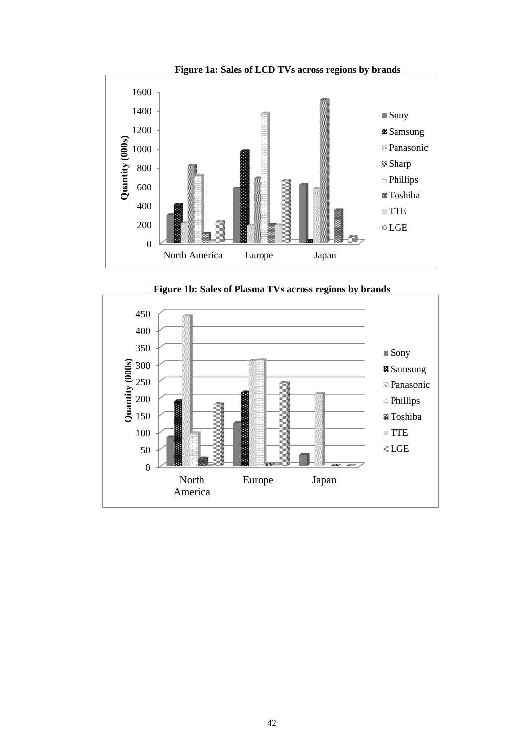



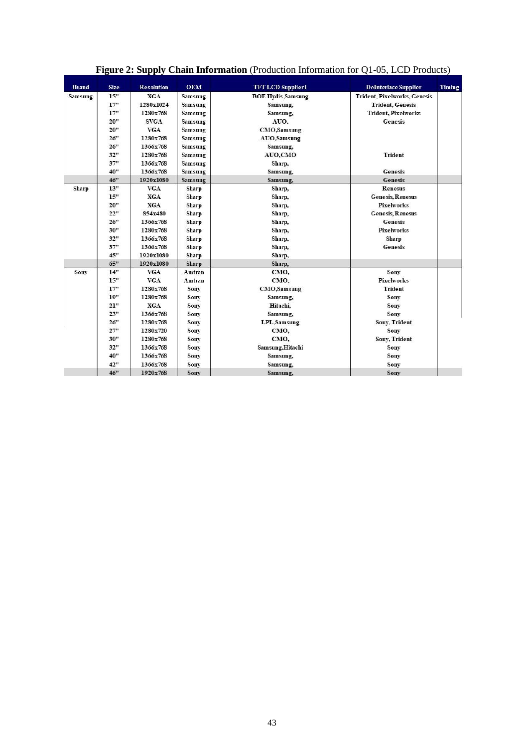| <b>Brand</b> | <b>Size</b> | <b>Resolution</b> | <b>OEM</b>   | <b>TFTLCD</b> Supplier1   | <b>DeInterlace Supplier</b>         | Timing |
|--------------|-------------|-------------------|--------------|---------------------------|-------------------------------------|--------|
| Samsung      | 15"         | <b>XGA</b>        | Samsung      | <b>BOE Hydis, Samsung</b> | <b>Trident, Pixelworks, Genesis</b> |        |
|              | 17"         | 1280x1024         | Samsung      | Samsung,                  | <b>Trident, Genesis</b>             |        |
|              | 17"         | 1280x768          | Samsung      | Samsung,                  | <b>Trident, Pixelworks</b>          |        |
|              | 20"         | <b>SVGA</b>       | Samsung      | AUO.                      | <b>Genesis</b>                      |        |
|              | 20"         | <b>VGA</b>        | Samsung      | <b>CMO</b> , Samsung      |                                     |        |
|              | 26"         | 1280x768          | Samsung      | AUO,Samsung               |                                     |        |
|              | 26"         | 1366x768          | Samsung      | Samsung,                  |                                     |        |
|              | 32"         | 1280x768          | Samsung      | AUO,CMO                   | <b>Trident</b>                      |        |
|              | 37"         | 1366x768          | Samsung      | Sharp,                    |                                     |        |
|              | 40"         | 1366x768          | Samsung      | Samsung,                  | <b>Genesis</b>                      |        |
|              | 46"         | 1920x1080         | Samsung      | Samsung,                  | <b>Genesis</b>                      |        |
| Sharp        | 13"         | <b>VGA</b>        | Sharp        | Sharp,                    | <b>Renesus</b>                      |        |
|              | 15"         | <b>XGA</b>        | Sharp        | Sharp,                    | <b>Genesis, Renesus</b>             |        |
|              | 20"         | <b>XGA</b>        | <b>Sharp</b> | Sharp,                    | <b>Pixelworks</b>                   |        |
|              | 22"         | 854x480           | <b>Sharp</b> | Sharp,                    | <b>Genesis, Renesus</b>             |        |
|              | 26"         | 1366x768          | <b>Sharp</b> | Sharp,                    | <b>Genesis</b>                      |        |
|              | 30"         | 1280x768          | Sharp        | Sharp,                    | <b>Pixelworks</b>                   |        |
|              | 32"         | 1366x768          | <b>Sharp</b> | Sharp.                    | <b>Sharp</b>                        |        |
|              | 37"         | 1366x768          | Sharp        | Sharp,                    | <b>Genesis</b>                      |        |
|              | 45"         | 1920x1080         | Sharp        | Sharp,                    |                                     |        |
|              | 65"         | 1920x1080         | Sharp        | Sharp,                    |                                     |        |
| Sony         | 14"         | <b>VGA</b>        | Amtran       | CMO,                      | Sonv                                |        |
|              | 15"         | <b>VGA</b>        | Amtran       | CMO,                      | <b>Pixelworks</b>                   |        |
|              | 17"         | 1280x768          | Sony         | <b>CMO</b> , Samsung      | <b>Trident</b>                      |        |
|              | 19"         | 1280x768          | Sony         | Samsung,                  | Sony                                |        |
|              | 21"         | <b>XGA</b>        | Sony         | Hitachi.                  | Sony                                |        |
|              | 23"         | 1366x768          | Sony         | Samsung,                  | Sony                                |        |
|              | 26"         | 1280x768          | <b>Sony</b>  | LPL.Samsung               | <b>Sony, Trident</b>                |        |
|              | 27"         | 1280x720          | Sony         | CMO.                      | Sony                                |        |
|              | 30"         | 1280x768          | Sony         | CMO.                      | <b>Sony, Trident</b>                |        |
|              | 32"         | 1366x768          | Sony         | Samsung, Hitachi          | Sony                                |        |
|              | 40"         | 1366x768          | Sony         | Samsung,                  | Sony                                |        |
|              | 42"         | 1366x768          | Sony         | Samsung,                  | Sony                                |        |
|              | 46"         | 1920x768          | Sony         | Samsung.                  | <b>Sony</b>                         |        |

## **Figure 2: Supply Chain Information** (Production Information for Q1-05, LCD Products)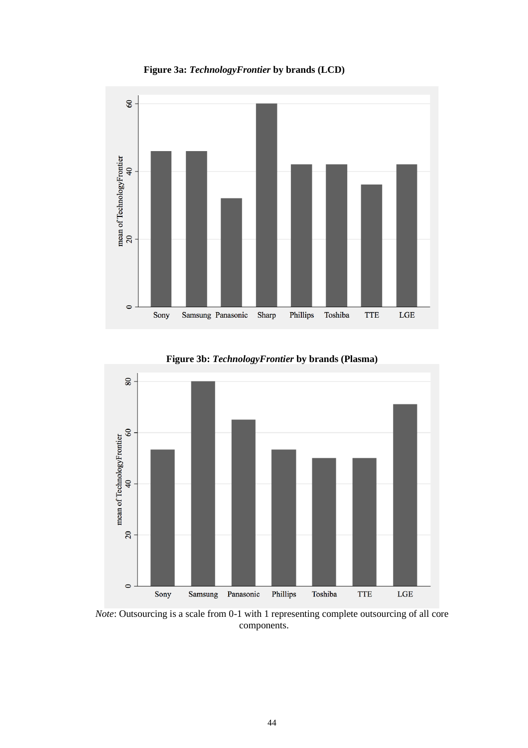**Figure 3a:** *TechnologyFrontier* **by brands (LCD)**





**Figure 3b:** *TechnologyFrontier* **by brands (Plasma)**

*Note*: Outsourcing is a scale from 0-1 with 1 representing complete outsourcing of all core components.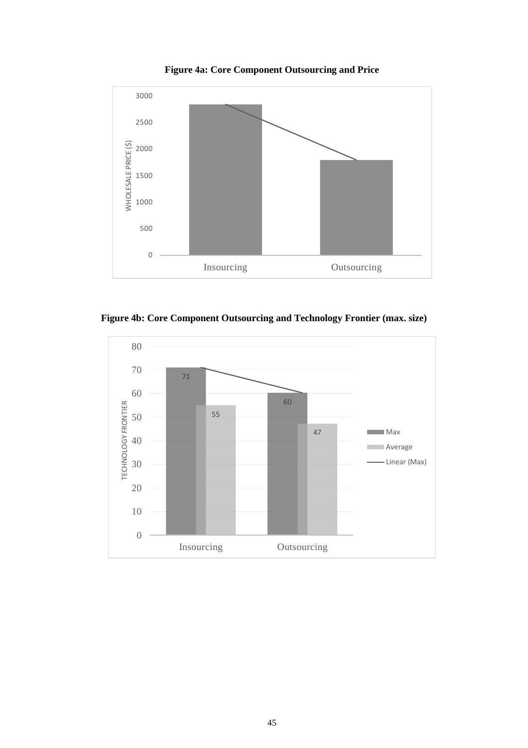



**Figure 4b: Core Component Outsourcing and Technology Frontier (max. size)**

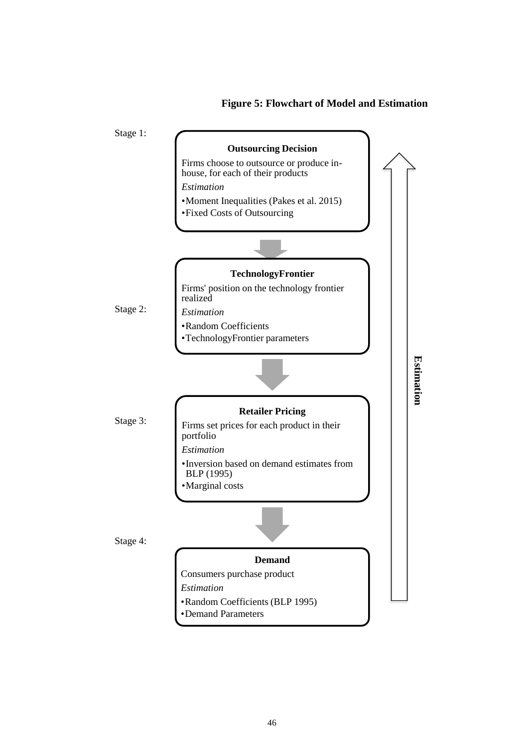### **Figure 5: Flowchart of Model and Estimation**

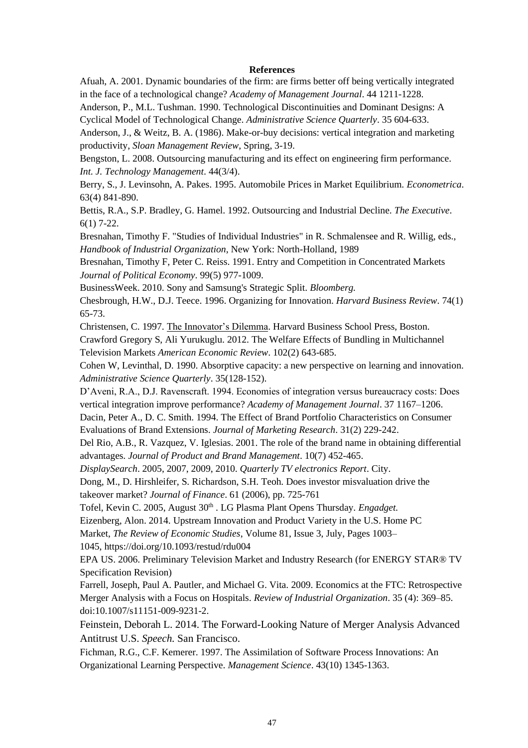#### **References**

Afuah, A. 2001. Dynamic boundaries of the firm: are firms better off being vertically integrated in the face of a technological change? *Academy of Management Journal*. 44 1211-1228.

Anderson, P., M.L. Tushman. 1990. Technological Discontinuities and Dominant Designs: A Cyclical Model of Technological Change. *Administrative Science Quarterly*. 35 604-633.

Anderson, J., & Weitz, B. A. (1986). Make-or-buy decisions: vertical integration and marketing productivity, *Sloan Management Review*, Spring, 3-19.

Bengston, L. 2008. Outsourcing manufacturing and its effect on engineering firm performance. *Int. J. Technology Management*. 44(3/4).

Berry, S., J. Levinsohn, A. Pakes. 1995. Automobile Prices in Market Equilibrium. *Econometrica*. 63(4) 841-890.

Bettis, R.A., S.P. Bradley, G. Hamel. 1992. Outsourcing and Industrial Decline. *The Executive*. 6(1) 7-22.

Bresnahan, Timothy F. "Studies of Individual Industries" in R. Schmalensee and R. Willig, eds., *Handbook of Industrial Organization*, New York: North-Holland, 1989

Bresnahan, Timothy F, Peter C. Reiss. 1991. Entry and Competition in Concentrated Markets *Journal of Political Economy*. 99(5) 977-1009.

BusinessWeek. 2010. Sony and Samsung's Strategic Split. *Bloomberg.*

Chesbrough, H.W., D.J. Teece. 1996. Organizing for Innovation. *Harvard Business Review*. 74(1) 65-73.

Christensen, C. 1997. The Innovator's Dilemma. Harvard Business School Press, Boston.

Crawford Gregory S, Ali Yurukuglu. 2012. The Welfare Effects of Bundling in Multichannel Television Markets *American Economic Review*. 102(2) 643-685.

Cohen W, Levinthal, D. 1990. Absorptive capacity: a new perspective on learning and innovation. *Administrative Science Quarterly*. 35(128-152).

D'Aveni, R.A., D.J. Ravenscraft. 1994. Economies of integration versus bureaucracy costs: Does vertical integration improve performance? *Academy of Management Journal*. 37 1167–1206.

Dacin, Peter A., D. C. Smith. 1994. The Effect of Brand Portfolio Characteristics on Consumer Evaluations of Brand Extensions. *Journal of Marketing Research*. 31(2) 229-242.

Del Rio, A.B., R. Vazquez, V. Iglesias. 2001. The role of the brand name in obtaining differential advantages. *Journal of Product and Brand Management*. 10(7) 452-465.

*DisplaySearch*. 2005, 2007, 2009, 2010. *Quarterly TV electronics Report*. City.

Dong, M., D. Hirshleifer, S. Richardson, S.H. Teoh. Does investor misvaluation drive the takeover market? *Journal of Finance*. 61 (2006), pp. 725-761

Tofel, Kevin C. 2005, August 30<sup>th</sup> . LG Plasma Plant Opens Thursday. *Engadget*.

Eizenberg, Alon. 2014. Upstream Innovation and Product Variety in the U.S. Home PC

Market, *The Review of Economic Studies*, Volume 81, Issue 3, July, Pages 1003–

1045, <https://doi.org/10.1093/restud/rdu004>

EPA US. 2006. Preliminary Television Market and Industry Research (for ENERGY STAR® TV Specification Revision)

Farrell, Joseph, Paul A. Pautler, and Michael G. Vita. 2009. Economics at the FTC: Retrospective Merger Analysis with a Focus on Hospitals. *Review of Industrial Organization*. 35 (4): 369–85. doi:10.1007/s11151-009-9231-2.

Feinstein, Deborah L. 2014. The Forward-Looking Nature of Merger Analysis Advanced Antitrust U.S. *Speech.* San Francisco.

Fichman, R.G., C.F. Kemerer. 1997. The Assimilation of Software Process Innovations: An Organizational Learning Perspective. *Management Science*. 43(10) 1345-1363.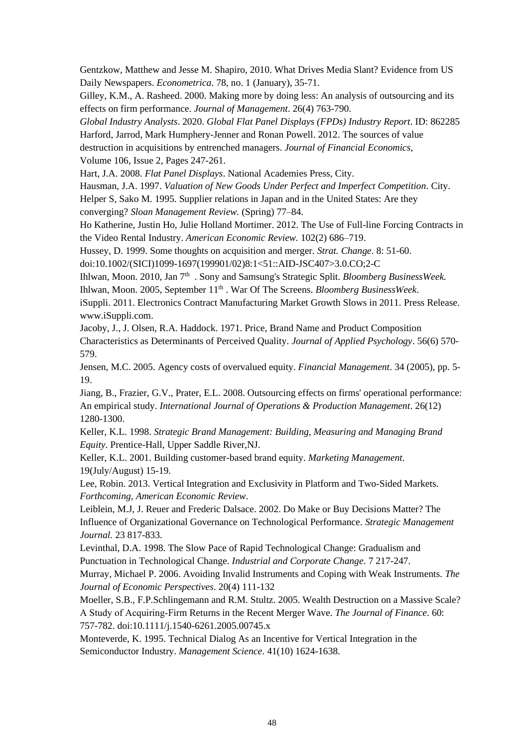Gentzkow, Matthew and Jesse M. Shapiro, 2010. What Drives Media Slant? Evidence from US Daily Newspapers. *Econometrica*. 78, no. 1 (January), 35-71.

Gilley, K.M., A. Rasheed. 2000. Making more by doing less: An analysis of outsourcing and its effects on firm performance. *Journal of Management*. 26(4) 763-790.

*Global Industry Analysts*. 2020. *Global Flat Panel Displays (FPDs) Industry Report*. ID: 862285 Harford, Jarrod, Mark Humphery-Jenner and Ronan Powell. 2012. The sources of value destruction in acquisitions by entrenched managers. *Journal of Financial Economics*, Volume 106, Issue 2, Pages 247-261.

Hart, J.A. 2008. *Flat Panel Displays*. National Academies Press, City.

Hausman, J.A. 1997. *Valuation of New Goods Under Perfect and Imperfect Competition*. City.

Helper S, Sako M. 1995. Supplier relations in Japan and in the United States: Are they converging? *Sloan Management Review.* (Spring) 77–84.

Ho Katherine, Justin Ho, Julie Holland Mortimer. 2012. The Use of Full-line Forcing Contracts in the Video Rental Industry. *American Economic Review.* 102(2) 686–719.

Hussey, D. 1999. Some thoughts on acquisition and merger. *Strat. Change*. 8: 51-60.

doi[:10.1002/\(SICI\)1099-1697\(199901/02\)8:1<51::AID-JSC407>3.0.CO;2-C](https://doi.org/10.1002/(SICI)1099-1697(199901/02)8:1%3C51::AID-JSC407%3E3.0.CO;2-C)

Ihlwan, Moon. 2010, Jan 7<sup>th</sup>. Sony and Samsung's Strategic Split. *Bloomberg BusinessWeek*.

Ihlwan, Moon. 2005, September 11th . War Of The Screens. *Bloomberg BusinessWeek*.

iSuppli. 2011. Electronics Contract Manufacturing Market Growth Slows in 2011. Press Release. www.iSuppli.com.

Jacoby, J., J. Olsen, R.A. Haddock. 1971. Price, Brand Name and Product Composition Characteristics as Determinants of Perceived Quality. *Journal of Applied Psychology*. 56(6) 570- 579.

Jensen, M.C. 2005. Agency costs of overvalued equity. *Financial Management*. 34 (2005), pp. 5- 19.

Jiang, B., Frazier, G.V., Prater, E.L. 2008. Outsourcing effects on firms' operational performance: An empirical study. *International Journal of Operations & Production Management*. 26(12) 1280-1300.

Keller, K.L. 1998. *Strategic Brand Management: Building, Measuring and Managing Brand Equity*. Prentice-Hall, Upper Saddle River,NJ.

Keller, K.L. 2001. Building customer-based brand equity. *Marketing Management*. 19(July/August) 15-19.

Lee, Robin. 2013. Vertical Integration and Exclusivity in Platform and Two-Sided Markets. *Forthcoming, American Economic Review*.

Leiblein, M.J, J. Reuer and Frederic Dalsace. 2002. Do Make or Buy Decisions Matter? The Influence of Organizational Governance on Technological Performance. *Strategic Management Journal.* 23 817-833.

Levinthal, D.A. 1998. The Slow Pace of Rapid Technological Change: Gradualism and Punctuation in Technological Change. *Industrial and Corporate Change*. 7 217-247.

Murray, Michael P. 2006. Avoiding Invalid Instruments and Coping with Weak Instruments. *The Journal of Economic Perspectives*. 20(4) 111-132

Moeller, S.B., F.P.Schlingemann and R.M. Stultz. 2005. Wealth Destruction on a Massive Scale? A Study of Acquiring‐Firm Returns in the Recent Merger Wave. *The Journal of Finance*. 60: 757-782. doi[:10.1111/j.1540-6261.2005.00745.x](https://doi.org/10.1111/j.1540-6261.2005.00745.x)

Monteverde, K. 1995. Technical Dialog As an Incentive for Vertical Integration in the Semiconductor Industry. *Management Science*. 41(10) 1624-1638.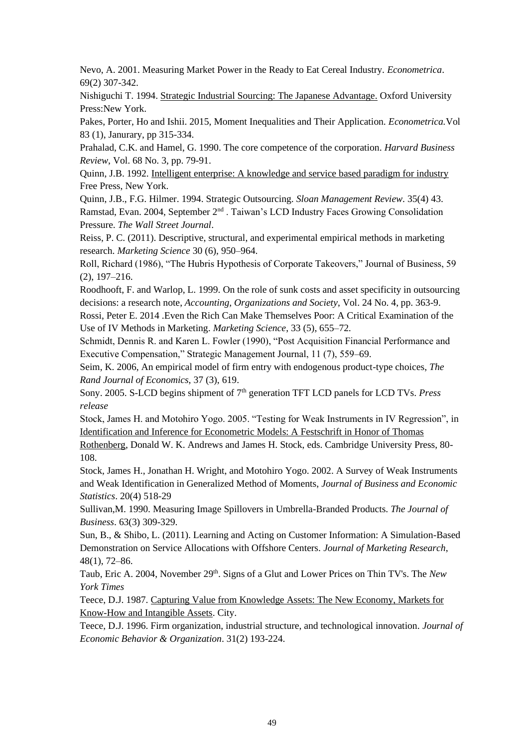Nevo, A. 2001. Measuring Market Power in the Ready to Eat Cereal Industry. *Econometrica*. 69(2) 307-342.

Nishiguchi T. 1994. Strategic Industrial Sourcing: The Japanese Advantage. Oxford University Press:New York.

Pakes, Porter, Ho and Ishii. 2015, Moment Inequalities and Their Application. *Econometrica.*Vol 83 (1), Janurary, pp 315-334.

Prahalad, C.K. and Hamel, G. 1990. The core competence of the corporation. *Harvard Business Review*, Vol. 68 No. 3, pp. 79-91.

Quinn, J.B. 1992. Intelligent enterprise: A knowledge and service based paradigm for industry Free Press, New York.

Quinn, J.B., F.G. Hilmer. 1994. Strategic Outsourcing. *Sloan Management Review*. 35(4) 43. Ramstad, Evan. 2004, September 2nd . Taiwan's LCD Industry Faces Growing Consolidation Pressure. *The Wall Street Journal*.

Reiss, P. C. (2011). Descriptive, structural, and experimental empirical methods in marketing research. *Marketing Science* 30 (6), 950–964.

Roll, Richard (1986), "The Hubris Hypothesis of Corporate Takeovers," Journal of Business, 59 (2), 197–216.

Roodhooft, F. and Warlop, L. 1999. On the role of sunk costs and asset specificity in outsourcing decisions: a research note, *Accounting, Organizations and Society*, Vol. 24 No. 4, pp. 363-9.

Rossi, Peter E. 2014 .Even the Rich Can Make Themselves Poor: A Critical Examination of the Use of IV Methods in Marketing. *Marketing Science*, 33 (5), 655–72.

Schmidt, Dennis R. and Karen L. Fowler (1990), "Post Acquisition Financial Performance and Executive Compensation," Strategic Management Journal, 11 (7), 559–69.

[Seim,](https://bepp.wharton.upenn.edu/profile/712/) K. 2006, An empirical model of firm entry with endogenous product-type choices, *The Rand Journal of Economics*, 37 (3), 619.

Sony. 2005. S-LCD begins shipment of 7<sup>th</sup> generation TFT LCD panels for LCD TVs. *Press release*

Stock, James H. and Motohiro Yogo. 2005. "Testing for Weak Instruments in IV Regression", in Identification and Inference for Econometric Models: A Festschrift in Honor of Thomas

Rothenberg, Donald W. K. Andrews and James H. Stock, eds. Cambridge University Press, 80- 108.

Stock, James H., Jonathan H. Wright, and Motohiro Yogo. 2002. A Survey of Weak Instruments and Weak Identification in Generalized Method of Moments, *Journal of Business and Economic Statistics*. 20(4) 518-29

Sullivan,M. 1990. Measuring Image Spillovers in Umbrella-Branded Products. *The Journal of Business*. 63(3) 309-329.

Sun, B., & Shibo, L. (2011). Learning and Acting on Customer Information: A Simulation-Based Demonstration on Service Allocations with Offshore Centers. *Journal of Marketing Research*, 48(1), 72–86.

Taub, Eric A. 2004, November 29th. Signs of a Glut and Lower Prices on Thin TV's. The *New York Times*

Teece, D.J. 1987. Capturing Value from Knowledge Assets: The New Economy, Markets for Know-How and Intangible Assets. City.

Teece, D.J. 1996. Firm organization, industrial structure, and technological innovation. *Journal of Economic Behavior & Organization*. 31(2) 193-224.